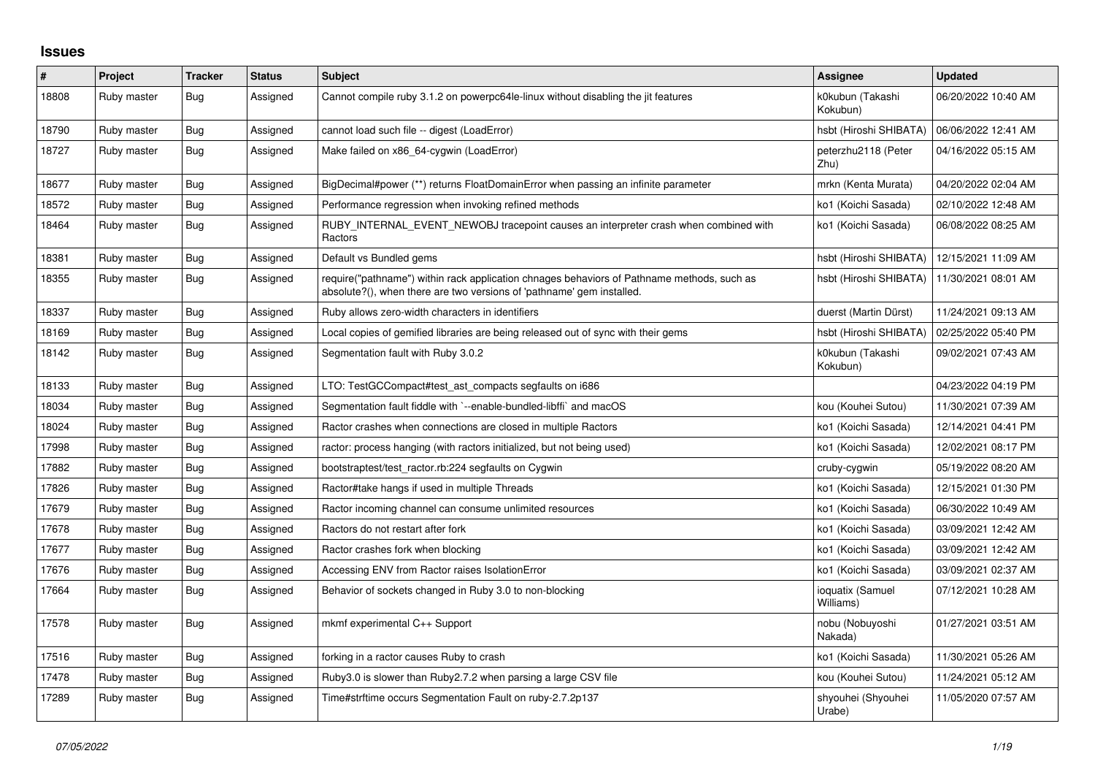## **Issues**

| $\sharp$ | Project     | <b>Tracker</b> | <b>Status</b> | <b>Subject</b>                                                                                                                                                      | <b>Assignee</b>               | <b>Updated</b>      |
|----------|-------------|----------------|---------------|---------------------------------------------------------------------------------------------------------------------------------------------------------------------|-------------------------------|---------------------|
| 18808    | Ruby master | <b>Bug</b>     | Assigned      | Cannot compile ruby 3.1.2 on powerpc64le-linux without disabling the jit features                                                                                   | k0kubun (Takashi<br>Kokubun)  | 06/20/2022 10:40 AM |
| 18790    | Ruby master | Bug            | Assigned      | cannot load such file -- digest (LoadError)                                                                                                                         | hsbt (Hiroshi SHIBATA)        | 06/06/2022 12:41 AM |
| 18727    | Ruby master | Bug            | Assigned      | Make failed on x86 64-cygwin (LoadError)                                                                                                                            | peterzhu2118 (Peter<br>Zhu)   | 04/16/2022 05:15 AM |
| 18677    | Ruby master | Bug            | Assigned      | BigDecimal#power (**) returns FloatDomainError when passing an infinite parameter                                                                                   | mrkn (Kenta Murata)           | 04/20/2022 02:04 AM |
| 18572    | Ruby master | <b>Bug</b>     | Assigned      | Performance regression when invoking refined methods                                                                                                                | ko1 (Koichi Sasada)           | 02/10/2022 12:48 AM |
| 18464    | Ruby master | Bug            | Assigned      | RUBY_INTERNAL_EVENT_NEWOBJ tracepoint causes an interpreter crash when combined with<br>Ractors                                                                     | ko1 (Koichi Sasada)           | 06/08/2022 08:25 AM |
| 18381    | Ruby master | Bug            | Assigned      | Default vs Bundled gems                                                                                                                                             | hsbt (Hiroshi SHIBATA)        | 12/15/2021 11:09 AM |
| 18355    | Ruby master | Bug            | Assigned      | require("pathname") within rack application chnages behaviors of Pathname methods, such as<br>absolute?(), when there are two versions of 'pathname' gem installed. | hsbt (Hiroshi SHIBATA)        | 11/30/2021 08:01 AM |
| 18337    | Ruby master | <b>Bug</b>     | Assigned      | Ruby allows zero-width characters in identifiers                                                                                                                    | duerst (Martin Dürst)         | 11/24/2021 09:13 AM |
| 18169    | Ruby master | Bug            | Assigned      | Local copies of gemified libraries are being released out of sync with their gems                                                                                   | hsbt (Hiroshi SHIBATA)        | 02/25/2022 05:40 PM |
| 18142    | Ruby master | <b>Bug</b>     | Assigned      | Segmentation fault with Ruby 3.0.2                                                                                                                                  | k0kubun (Takashi<br>Kokubun)  | 09/02/2021 07:43 AM |
| 18133    | Ruby master | <b>Bug</b>     | Assigned      | LTO: TestGCCompact#test_ast_compacts segfaults on i686                                                                                                              |                               | 04/23/2022 04:19 PM |
| 18034    | Ruby master | Bug            | Assigned      | Segmentation fault fiddle with `--enable-bundled-libffi` and macOS                                                                                                  | kou (Kouhei Sutou)            | 11/30/2021 07:39 AM |
| 18024    | Ruby master | <b>Bug</b>     | Assigned      | Ractor crashes when connections are closed in multiple Ractors                                                                                                      | ko1 (Koichi Sasada)           | 12/14/2021 04:41 PM |
| 17998    | Ruby master | Bug            | Assigned      | ractor: process hanging (with ractors initialized, but not being used)                                                                                              | ko1 (Koichi Sasada)           | 12/02/2021 08:17 PM |
| 17882    | Ruby master | <b>Bug</b>     | Assigned      | bootstraptest/test_ractor.rb:224 segfaults on Cygwin                                                                                                                | cruby-cygwin                  | 05/19/2022 08:20 AM |
| 17826    | Ruby master | Bug            | Assigned      | Ractor#take hangs if used in multiple Threads                                                                                                                       | ko1 (Koichi Sasada)           | 12/15/2021 01:30 PM |
| 17679    | Ruby master | Bug            | Assigned      | Ractor incoming channel can consume unlimited resources                                                                                                             | ko1 (Koichi Sasada)           | 06/30/2022 10:49 AM |
| 17678    | Ruby master | <b>Bug</b>     | Assigned      | Ractors do not restart after fork                                                                                                                                   | ko1 (Koichi Sasada)           | 03/09/2021 12:42 AM |
| 17677    | Ruby master | Bug            | Assigned      | Ractor crashes fork when blocking                                                                                                                                   | ko1 (Koichi Sasada)           | 03/09/2021 12:42 AM |
| 17676    | Ruby master | Bug            | Assigned      | Accessing ENV from Ractor raises IsolationError                                                                                                                     | ko1 (Koichi Sasada)           | 03/09/2021 02:37 AM |
| 17664    | Ruby master | <b>Bug</b>     | Assigned      | Behavior of sockets changed in Ruby 3.0 to non-blocking                                                                                                             | ioquatix (Samuel<br>Williams) | 07/12/2021 10:28 AM |
| 17578    | Ruby master | Bug            | Assigned      | mkmf experimental C++ Support                                                                                                                                       | nobu (Nobuyoshi<br>Nakada)    | 01/27/2021 03:51 AM |
| 17516    | Ruby master | Bug            | Assigned      | forking in a ractor causes Ruby to crash                                                                                                                            | ko1 (Koichi Sasada)           | 11/30/2021 05:26 AM |
| 17478    | Ruby master | Bug            | Assigned      | Ruby 3.0 is slower than Ruby 2.7.2 when parsing a large CSV file                                                                                                    | kou (Kouhei Sutou)            | 11/24/2021 05:12 AM |
| 17289    | Ruby master | Bug            | Assigned      | Time#strftime occurs Segmentation Fault on ruby-2.7.2p137                                                                                                           | shyouhei (Shyouhei<br>Urabe)  | 11/05/2020 07:57 AM |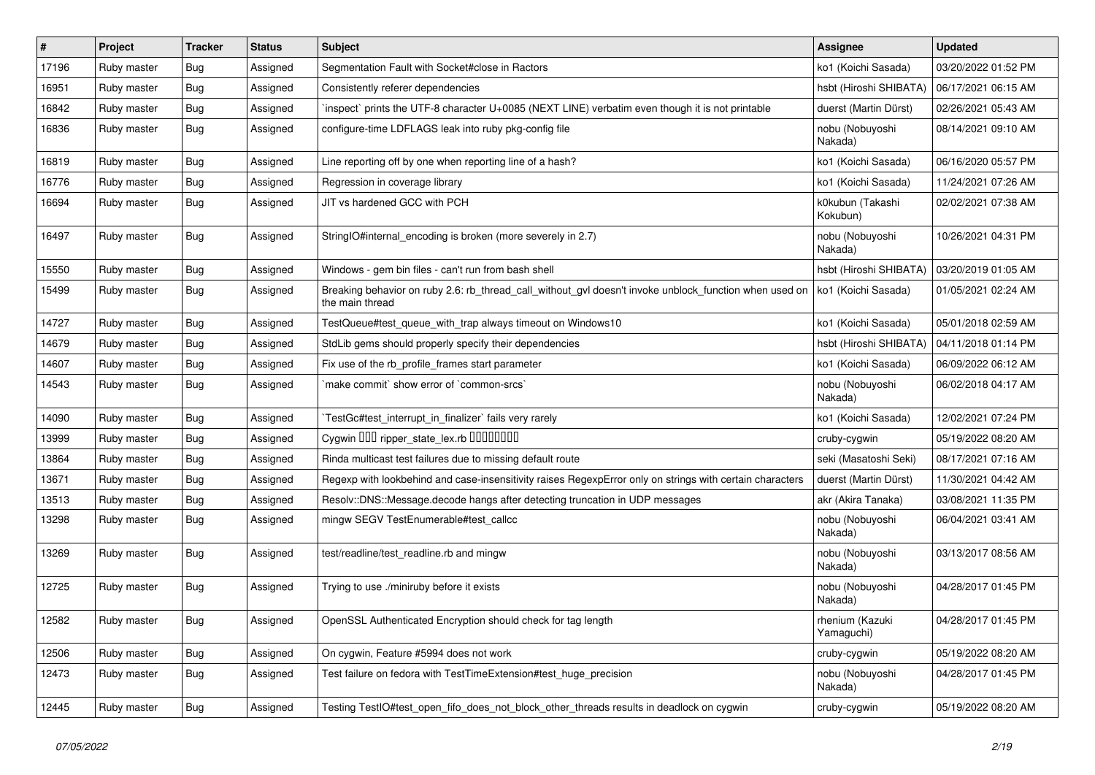| #     | Project     | <b>Tracker</b> | <b>Status</b> | <b>Subject</b>                                                                                                            | Assignee                      | <b>Updated</b>      |
|-------|-------------|----------------|---------------|---------------------------------------------------------------------------------------------------------------------------|-------------------------------|---------------------|
| 17196 | Ruby master | <b>Bug</b>     | Assigned      | Segmentation Fault with Socket#close in Ractors                                                                           | ko1 (Koichi Sasada)           | 03/20/2022 01:52 PM |
| 16951 | Ruby master | Bug            | Assigned      | Consistently referer dependencies                                                                                         | hsbt (Hiroshi SHIBATA)        | 06/17/2021 06:15 AM |
| 16842 | Ruby master | Bug            | Assigned      | inspect` prints the UTF-8 character U+0085 (NEXT LINE) verbatim even though it is not printable                           | duerst (Martin Dürst)         | 02/26/2021 05:43 AM |
| 16836 | Ruby master | Bug            | Assigned      | configure-time LDFLAGS leak into ruby pkg-config file                                                                     | nobu (Nobuyoshi<br>Nakada)    | 08/14/2021 09:10 AM |
| 16819 | Ruby master | Bug            | Assigned      | Line reporting off by one when reporting line of a hash?                                                                  | ko1 (Koichi Sasada)           | 06/16/2020 05:57 PM |
| 16776 | Ruby master | Bug            | Assigned      | Regression in coverage library                                                                                            | ko1 (Koichi Sasada)           | 11/24/2021 07:26 AM |
| 16694 | Ruby master | <b>Bug</b>     | Assigned      | JIT vs hardened GCC with PCH                                                                                              | k0kubun (Takashi<br>Kokubun)  | 02/02/2021 07:38 AM |
| 16497 | Ruby master | <b>Bug</b>     | Assigned      | String O#internal encoding is broken (more severely in 2.7)                                                               | nobu (Nobuyoshi<br>Nakada)    | 10/26/2021 04:31 PM |
| 15550 | Ruby master | Bug            | Assigned      | Windows - gem bin files - can't run from bash shell                                                                       | hsbt (Hiroshi SHIBATA)        | 03/20/2019 01:05 AM |
| 15499 | Ruby master | <b>Bug</b>     | Assigned      | Breaking behavior on ruby 2.6: rb_thread_call_without_gvl doesn't invoke unblock_function when used on<br>the main thread | ko1 (Koichi Sasada)           | 01/05/2021 02:24 AM |
| 14727 | Ruby master | Bug            | Assigned      | TestQueue#test_queue_with_trap always timeout on Windows10                                                                | ko1 (Koichi Sasada)           | 05/01/2018 02:59 AM |
| 14679 | Ruby master | Bug            | Assigned      | StdLib gems should properly specify their dependencies                                                                    | hsbt (Hiroshi SHIBATA)        | 04/11/2018 01:14 PM |
| 14607 | Ruby master | <b>Bug</b>     | Assigned      | Fix use of the rb_profile_frames start parameter                                                                          | ko1 (Koichi Sasada)           | 06/09/2022 06:12 AM |
| 14543 | Ruby master | Bug            | Assigned      | 'make commit' show error of 'common-srcs'                                                                                 | nobu (Nobuyoshi<br>Nakada)    | 06/02/2018 04:17 AM |
| 14090 | Ruby master | Bug            | Assigned      | TestGc#test interrupt in finalizer` fails very rarely                                                                     | ko1 (Koichi Sasada)           | 12/02/2021 07:24 PM |
| 13999 | Ruby master | Bug            | Assigned      | Cygwin 000 ripper_state_lex.rb 00000000                                                                                   | cruby-cygwin                  | 05/19/2022 08:20 AM |
| 13864 | Ruby master | Bug            | Assigned      | Rinda multicast test failures due to missing default route                                                                | seki (Masatoshi Seki)         | 08/17/2021 07:16 AM |
| 13671 | Ruby master | Bug            | Assigned      | Regexp with lookbehind and case-insensitivity raises RegexpError only on strings with certain characters                  | duerst (Martin Dürst)         | 11/30/2021 04:42 AM |
| 13513 | Ruby master | Bug            | Assigned      | Resolv::DNS::Message.decode hangs after detecting truncation in UDP messages                                              | akr (Akira Tanaka)            | 03/08/2021 11:35 PM |
| 13298 | Ruby master | Bug            | Assigned      | mingw SEGV TestEnumerable#test callcc                                                                                     | nobu (Nobuyoshi<br>Nakada)    | 06/04/2021 03:41 AM |
| 13269 | Ruby master | <b>Bug</b>     | Assigned      | test/readline/test_readline.rb and mingw                                                                                  | nobu (Nobuyoshi<br>Nakada)    | 03/13/2017 08:56 AM |
| 12725 | Ruby master | <b>Bug</b>     | Assigned      | Trying to use ./miniruby before it exists                                                                                 | nobu (Nobuyoshi<br>Nakada)    | 04/28/2017 01:45 PM |
| 12582 | Ruby master | Bug            | Assigned      | OpenSSL Authenticated Encryption should check for tag length                                                              | rhenium (Kazuki<br>Yamaguchi) | 04/28/2017 01:45 PM |
| 12506 | Ruby master | Bug            | Assigned      | On cygwin, Feature #5994 does not work                                                                                    | cruby-cygwin                  | 05/19/2022 08:20 AM |
| 12473 | Ruby master | Bug            | Assigned      | Test failure on fedora with TestTimeExtension#test huge precision                                                         | nobu (Nobuyoshi<br>Nakada)    | 04/28/2017 01:45 PM |
| 12445 | Ruby master | Bug            | Assigned      | Testing TestIO#test open fifo does not block other threads results in deadlock on cygwin                                  | cruby-cygwin                  | 05/19/2022 08:20 AM |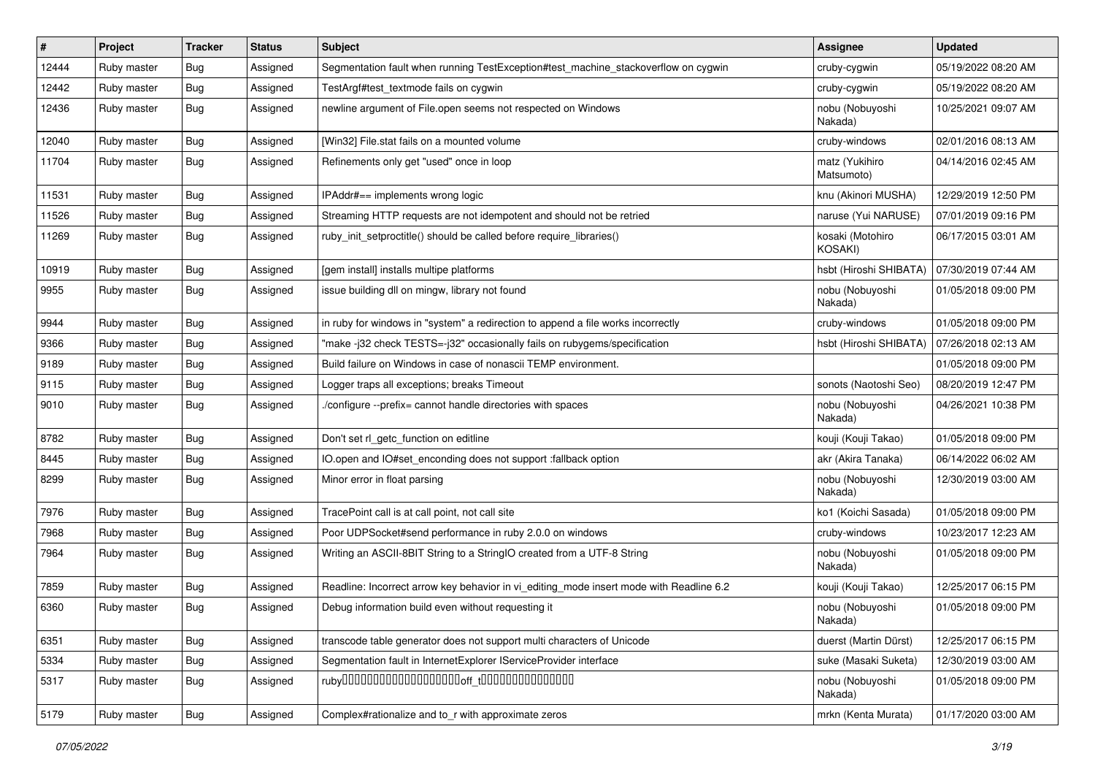| $\vert$ # | Project     | <b>Tracker</b> | <b>Status</b> | Subject                                                                                 | <b>Assignee</b>                    | <b>Updated</b>      |
|-----------|-------------|----------------|---------------|-----------------------------------------------------------------------------------------|------------------------------------|---------------------|
| 12444     | Ruby master | Bug            | Assigned      | Segmentation fault when running TestException#test_machine_stackoverflow on cygwin      | cruby-cygwin                       | 05/19/2022 08:20 AM |
| 12442     | Ruby master | Bug            | Assigned      | TestArgf#test_textmode fails on cygwin                                                  | cruby-cygwin                       | 05/19/2022 08:20 AM |
| 12436     | Ruby master | Bug            | Assigned      | newline argument of File.open seems not respected on Windows                            | nobu (Nobuyoshi<br>Nakada)         | 10/25/2021 09:07 AM |
| 12040     | Ruby master | Bug            | Assigned      | [Win32] File.stat fails on a mounted volume                                             | cruby-windows                      | 02/01/2016 08:13 AM |
| 11704     | Ruby master | Bug            | Assigned      | Refinements only get "used" once in loop                                                | matz (Yukihiro<br>Matsumoto)       | 04/14/2016 02:45 AM |
| 11531     | Ruby master | Bug            | Assigned      | IPAddr#== implements wrong logic                                                        | knu (Akinori MUSHA)                | 12/29/2019 12:50 PM |
| 11526     | Ruby master | Bug            | Assigned      | Streaming HTTP requests are not idempotent and should not be retried                    | naruse (Yui NARUSE)                | 07/01/2019 09:16 PM |
| 11269     | Ruby master | Bug            | Assigned      | ruby_init_setproctitle() should be called before require_libraries()                    | kosaki (Motohiro<br><b>KOSAKI)</b> | 06/17/2015 03:01 AM |
| 10919     | Ruby master | Bug            | Assigned      | [gem install] installs multipe platforms                                                | hsbt (Hiroshi SHIBATA)             | 07/30/2019 07:44 AM |
| 9955      | Ruby master | Bug            | Assigned      | issue building dll on mingw, library not found                                          | nobu (Nobuyoshi<br>Nakada)         | 01/05/2018 09:00 PM |
| 9944      | Ruby master | Bug            | Assigned      | in ruby for windows in "system" a redirection to append a file works incorrectly        | cruby-windows                      | 01/05/2018 09:00 PM |
| 9366      | Ruby master | Bug            | Assigned      | "make-j32 check TESTS=-j32" occasionally fails on rubygems/specification                | hsbt (Hiroshi SHIBATA)             | 07/26/2018 02:13 AM |
| 9189      | Ruby master | Bug            | Assigned      | Build failure on Windows in case of nonascii TEMP environment.                          |                                    | 01/05/2018 09:00 PM |
| 9115      | Ruby master | <b>Bug</b>     | Assigned      | Logger traps all exceptions; breaks Timeout                                             | sonots (Naotoshi Seo)              | 08/20/2019 12:47 PM |
| 9010      | Ruby master | Bug            | Assigned      | /configure --prefix= cannot handle directories with spaces                              | nobu (Nobuyoshi<br>Nakada)         | 04/26/2021 10:38 PM |
| 8782      | Ruby master | Bug            | Assigned      | Don't set rl_getc_function on editline                                                  | kouji (Kouji Takao)                | 01/05/2018 09:00 PM |
| 8445      | Ruby master | <b>Bug</b>     | Assigned      | IO.open and IO#set_enconding does not support :fallback option                          | akr (Akira Tanaka)                 | 06/14/2022 06:02 AM |
| 8299      | Ruby master | Bug            | Assigned      | Minor error in float parsing                                                            | nobu (Nobuyoshi<br>Nakada)         | 12/30/2019 03:00 AM |
| 7976      | Ruby master | Bug            | Assigned      | TracePoint call is at call point, not call site                                         | ko1 (Koichi Sasada)                | 01/05/2018 09:00 PM |
| 7968      | Ruby master | Bug            | Assigned      | Poor UDPSocket#send performance in ruby 2.0.0 on windows                                | cruby-windows                      | 10/23/2017 12:23 AM |
| 7964      | Ruby master | Bug            | Assigned      | Writing an ASCII-8BIT String to a StringIO created from a UTF-8 String                  | nobu (Nobuyoshi<br>Nakada)         | 01/05/2018 09:00 PM |
| 7859      | Ruby master | Bug            | Assigned      | Readline: Incorrect arrow key behavior in vi_editing_mode insert mode with Readline 6.2 | kouji (Kouji Takao)                | 12/25/2017 06:15 PM |
| 6360      | Ruby master | Bug            | Assigned      | Debug information build even without requesting it                                      | nobu (Nobuyoshi<br>Nakada)         | 01/05/2018 09:00 PM |
| 6351      | Ruby master | Bug            | Assigned      | transcode table generator does not support multi characters of Unicode                  | duerst (Martin Dürst)              | 12/25/2017 06:15 PM |
| 5334      | Ruby master | <b>Bug</b>     | Assigned      | Segmentation fault in InternetExplorer IServiceProvider interface                       | suke (Masaki Suketa)               | 12/30/2019 03:00 AM |
| 5317      | Ruby master | Bug            | Assigned      |                                                                                         | nobu (Nobuyoshi<br>Nakada)         | 01/05/2018 09:00 PM |
| 5179      | Ruby master | <b>Bug</b>     | Assigned      | Complex#rationalize and to_r with approximate zeros                                     | mrkn (Kenta Murata)                | 01/17/2020 03:00 AM |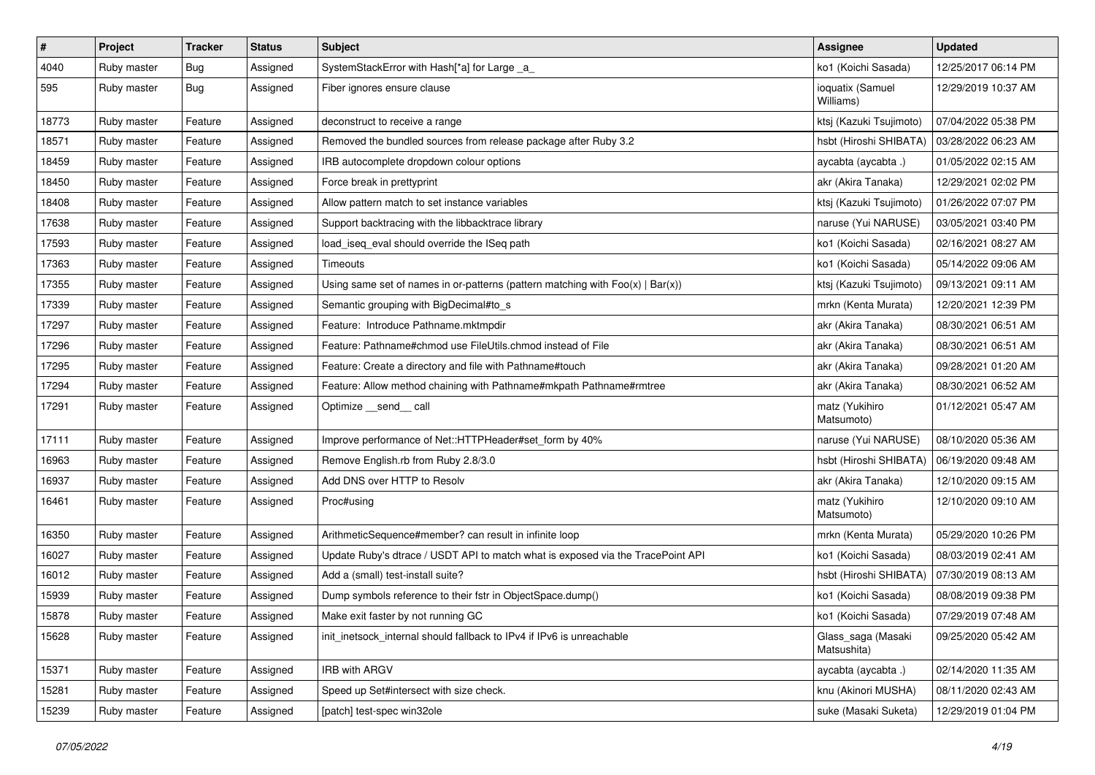| $\vert$ # | Project     | <b>Tracker</b> | <b>Status</b> | <b>Subject</b>                                                                    | <b>Assignee</b>                   | <b>Updated</b>      |
|-----------|-------------|----------------|---------------|-----------------------------------------------------------------------------------|-----------------------------------|---------------------|
| 4040      | Ruby master | Bug            | Assigned      | SystemStackError with Hash[*a] for Large _a_                                      | ko1 (Koichi Sasada)               | 12/25/2017 06:14 PM |
| 595       | Ruby master | <b>Bug</b>     | Assigned      | Fiber ignores ensure clause                                                       | ioquatix (Samuel<br>Williams)     | 12/29/2019 10:37 AM |
| 18773     | Ruby master | Feature        | Assigned      | deconstruct to receive a range                                                    | ktsj (Kazuki Tsujimoto)           | 07/04/2022 05:38 PM |
| 18571     | Ruby master | Feature        | Assigned      | Removed the bundled sources from release package after Ruby 3.2                   | hsbt (Hiroshi SHIBATA)            | 03/28/2022 06:23 AM |
| 18459     | Ruby master | Feature        | Assigned      | IRB autocomplete dropdown colour options                                          | aycabta (aycabta .)               | 01/05/2022 02:15 AM |
| 18450     | Ruby master | Feature        | Assigned      | Force break in prettyprint                                                        | akr (Akira Tanaka)                | 12/29/2021 02:02 PM |
| 18408     | Ruby master | Feature        | Assigned      | Allow pattern match to set instance variables                                     | ktsj (Kazuki Tsujimoto)           | 01/26/2022 07:07 PM |
| 17638     | Ruby master | Feature        | Assigned      | Support backtracing with the libbacktrace library                                 | naruse (Yui NARUSE)               | 03/05/2021 03:40 PM |
| 17593     | Ruby master | Feature        | Assigned      | load_iseq_eval should override the ISeq path                                      | ko1 (Koichi Sasada)               | 02/16/2021 08:27 AM |
| 17363     | Ruby master | Feature        | Assigned      | Timeouts                                                                          | ko1 (Koichi Sasada)               | 05/14/2022 09:06 AM |
| 17355     | Ruby master | Feature        | Assigned      | Using same set of names in or-patterns (pattern matching with $Foo(x)   Bar(x)$ ) | ktsj (Kazuki Tsujimoto)           | 09/13/2021 09:11 AM |
| 17339     | Ruby master | Feature        | Assigned      | Semantic grouping with BigDecimal#to_s                                            | mrkn (Kenta Murata)               | 12/20/2021 12:39 PM |
| 17297     | Ruby master | Feature        | Assigned      | Feature: Introduce Pathname.mktmpdir                                              | akr (Akira Tanaka)                | 08/30/2021 06:51 AM |
| 17296     | Ruby master | Feature        | Assigned      | Feature: Pathname#chmod use FileUtils.chmod instead of File                       | akr (Akira Tanaka)                | 08/30/2021 06:51 AM |
| 17295     | Ruby master | Feature        | Assigned      | Feature: Create a directory and file with Pathname#touch                          | akr (Akira Tanaka)                | 09/28/2021 01:20 AM |
| 17294     | Ruby master | Feature        | Assigned      | Feature: Allow method chaining with Pathname#mkpath Pathname#rmtree               | akr (Akira Tanaka)                | 08/30/2021 06:52 AM |
| 17291     | Ruby master | Feature        | Assigned      | Optimize send call                                                                | matz (Yukihiro<br>Matsumoto)      | 01/12/2021 05:47 AM |
| 17111     | Ruby master | Feature        | Assigned      | Improve performance of Net::HTTPHeader#set_form by 40%                            | naruse (Yui NARUSE)               | 08/10/2020 05:36 AM |
| 16963     | Ruby master | Feature        | Assigned      | Remove English.rb from Ruby 2.8/3.0                                               | hsbt (Hiroshi SHIBATA)            | 06/19/2020 09:48 AM |
| 16937     | Ruby master | Feature        | Assigned      | Add DNS over HTTP to Resolv                                                       | akr (Akira Tanaka)                | 12/10/2020 09:15 AM |
| 16461     | Ruby master | Feature        | Assigned      | Proc#using                                                                        | matz (Yukihiro<br>Matsumoto)      | 12/10/2020 09:10 AM |
| 16350     | Ruby master | Feature        | Assigned      | ArithmeticSequence#member? can result in infinite loop                            | mrkn (Kenta Murata)               | 05/29/2020 10:26 PM |
| 16027     | Ruby master | Feature        | Assigned      | Update Ruby's dtrace / USDT API to match what is exposed via the TracePoint API   | ko1 (Koichi Sasada)               | 08/03/2019 02:41 AM |
| 16012     | Ruby master | Feature        | Assigned      | Add a (small) test-install suite?                                                 | hsbt (Hiroshi SHIBATA)            | 07/30/2019 08:13 AM |
| 15939     | Ruby master | Feature        | Assigned      | Dump symbols reference to their fstr in ObjectSpace.dump()                        | ko1 (Koichi Sasada)               | 08/08/2019 09:38 PM |
| 15878     | Ruby master | Feature        | Assigned      | Make exit faster by not running GC                                                | ko1 (Koichi Sasada)               | 07/29/2019 07:48 AM |
| 15628     | Ruby master | Feature        | Assigned      | init inetsock internal should fallback to IPv4 if IPv6 is unreachable             | Glass_saga (Masaki<br>Matsushita) | 09/25/2020 05:42 AM |
| 15371     | Ruby master | Feature        | Assigned      | IRB with ARGV                                                                     | aycabta (aycabta.)                | 02/14/2020 11:35 AM |
| 15281     | Ruby master | Feature        | Assigned      | Speed up Set#intersect with size check.                                           | knu (Akinori MUSHA)               | 08/11/2020 02:43 AM |
| 15239     | Ruby master | Feature        | Assigned      | [patch] test-spec win32ole                                                        | suke (Masaki Suketa)              | 12/29/2019 01:04 PM |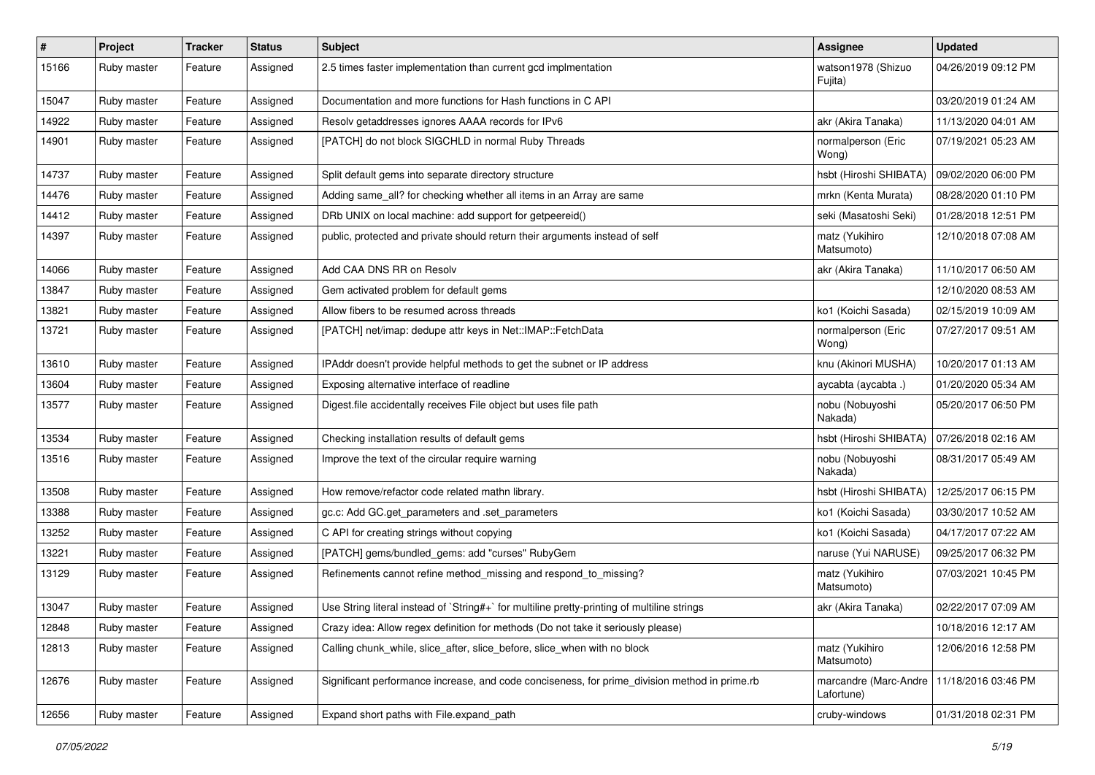| $\pmb{\#}$ | Project     | <b>Tracker</b> | <b>Status</b> | <b>Subject</b>                                                                                | Assignee                            | <b>Updated</b>      |
|------------|-------------|----------------|---------------|-----------------------------------------------------------------------------------------------|-------------------------------------|---------------------|
| 15166      | Ruby master | Feature        | Assigned      | 2.5 times faster implementation than current gcd implmentation                                | watson1978 (Shizuo<br>Fujita)       | 04/26/2019 09:12 PM |
| 15047      | Ruby master | Feature        | Assigned      | Documentation and more functions for Hash functions in C API                                  |                                     | 03/20/2019 01:24 AM |
| 14922      | Ruby master | Feature        | Assigned      | Resolv getaddresses ignores AAAA records for IPv6                                             | akr (Akira Tanaka)                  | 11/13/2020 04:01 AM |
| 14901      | Ruby master | Feature        | Assigned      | [PATCH] do not block SIGCHLD in normal Ruby Threads                                           | normalperson (Eric<br>Wong)         | 07/19/2021 05:23 AM |
| 14737      | Ruby master | Feature        | Assigned      | Split default gems into separate directory structure                                          | hsbt (Hiroshi SHIBATA)              | 09/02/2020 06:00 PM |
| 14476      | Ruby master | Feature        | Assigned      | Adding same_all? for checking whether all items in an Array are same                          | mrkn (Kenta Murata)                 | 08/28/2020 01:10 PM |
| 14412      | Ruby master | Feature        | Assigned      | DRb UNIX on local machine: add support for getpeereid()                                       | seki (Masatoshi Seki)               | 01/28/2018 12:51 PM |
| 14397      | Ruby master | Feature        | Assigned      | public, protected and private should return their arguments instead of self                   | matz (Yukihiro<br>Matsumoto)        | 12/10/2018 07:08 AM |
| 14066      | Ruby master | Feature        | Assigned      | Add CAA DNS RR on Resolv                                                                      | akr (Akira Tanaka)                  | 11/10/2017 06:50 AM |
| 13847      | Ruby master | Feature        | Assigned      | Gem activated problem for default gems                                                        |                                     | 12/10/2020 08:53 AM |
| 13821      | Ruby master | Feature        | Assigned      | Allow fibers to be resumed across threads                                                     | ko1 (Koichi Sasada)                 | 02/15/2019 10:09 AM |
| 13721      | Ruby master | Feature        | Assigned      | [PATCH] net/imap: dedupe attr keys in Net::IMAP::FetchData                                    | normalperson (Eric<br>Wong)         | 07/27/2017 09:51 AM |
| 13610      | Ruby master | Feature        | Assigned      | IPAddr doesn't provide helpful methods to get the subnet or IP address                        | knu (Akinori MUSHA)                 | 10/20/2017 01:13 AM |
| 13604      | Ruby master | Feature        | Assigned      | Exposing alternative interface of readline                                                    | aycabta (aycabta .)                 | 01/20/2020 05:34 AM |
| 13577      | Ruby master | Feature        | Assigned      | Digest file accidentally receives File object but uses file path                              | nobu (Nobuyoshi<br>Nakada)          | 05/20/2017 06:50 PM |
| 13534      | Ruby master | Feature        | Assigned      | Checking installation results of default gems                                                 | hsbt (Hiroshi SHIBATA)              | 07/26/2018 02:16 AM |
| 13516      | Ruby master | Feature        | Assigned      | Improve the text of the circular require warning                                              | nobu (Nobuyoshi<br>Nakada)          | 08/31/2017 05:49 AM |
| 13508      | Ruby master | Feature        | Assigned      | How remove/refactor code related mathn library.                                               | hsbt (Hiroshi SHIBATA)              | 12/25/2017 06:15 PM |
| 13388      | Ruby master | Feature        | Assigned      | gc.c: Add GC.get_parameters and .set_parameters                                               | ko1 (Koichi Sasada)                 | 03/30/2017 10:52 AM |
| 13252      | Ruby master | Feature        | Assigned      | C API for creating strings without copying                                                    | ko1 (Koichi Sasada)                 | 04/17/2017 07:22 AM |
| 13221      | Ruby master | Feature        | Assigned      | [PATCH] gems/bundled_gems: add "curses" RubyGem                                               | naruse (Yui NARUSE)                 | 09/25/2017 06:32 PM |
| 13129      | Ruby master | Feature        | Assigned      | Refinements cannot refine method_missing and respond_to_missing?                              | matz (Yukihiro<br>Matsumoto)        | 07/03/2021 10:45 PM |
| 13047      | Ruby master | Feature        | Assigned      | Use String literal instead of `String#+` for multiline pretty-printing of multiline strings   | akr (Akira Tanaka)                  | 02/22/2017 07:09 AM |
| 12848      | Ruby master | Feature        | Assigned      | Crazy idea: Allow regex definition for methods (Do not take it seriously please)              |                                     | 10/18/2016 12:17 AM |
| 12813      | Ruby master | Feature        | Assigned      | Calling chunk_while, slice_after, slice_before, slice_when with no block                      | matz (Yukihiro<br>Matsumoto)        | 12/06/2016 12:58 PM |
| 12676      | Ruby master | Feature        | Assigned      | Significant performance increase, and code conciseness, for prime division method in prime.rb | marcandre (Marc-Andre<br>Lafortune) | 11/18/2016 03:46 PM |
| 12656      | Ruby master | Feature        | Assigned      | Expand short paths with File.expand path                                                      | cruby-windows                       | 01/31/2018 02:31 PM |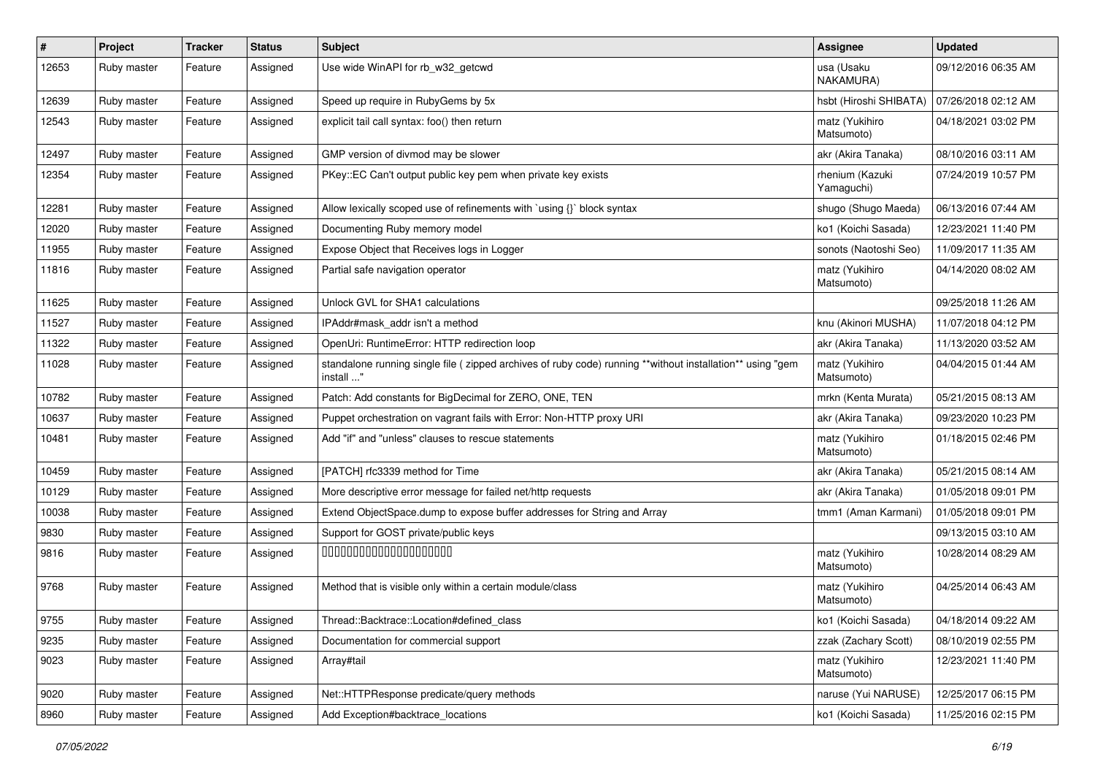| $\sharp$ | Project     | <b>Tracker</b> | <b>Status</b> | <b>Subject</b>                                                                                                          | Assignee                      | <b>Updated</b>      |
|----------|-------------|----------------|---------------|-------------------------------------------------------------------------------------------------------------------------|-------------------------------|---------------------|
| 12653    | Ruby master | Feature        | Assigned      | Use wide WinAPI for rb_w32_getcwd                                                                                       | usa (Usaku<br>NAKAMURA)       | 09/12/2016 06:35 AM |
| 12639    | Ruby master | Feature        | Assigned      | Speed up require in RubyGems by 5x                                                                                      | hsbt (Hiroshi SHIBATA)        | 07/26/2018 02:12 AM |
| 12543    | Ruby master | Feature        | Assigned      | explicit tail call syntax: foo() then return                                                                            | matz (Yukihiro<br>Matsumoto)  | 04/18/2021 03:02 PM |
| 12497    | Ruby master | Feature        | Assigned      | GMP version of divmod may be slower                                                                                     | akr (Akira Tanaka)            | 08/10/2016 03:11 AM |
| 12354    | Ruby master | Feature        | Assigned      | PKey::EC Can't output public key pem when private key exists                                                            | rhenium (Kazuki<br>Yamaguchi) | 07/24/2019 10:57 PM |
| 12281    | Ruby master | Feature        | Assigned      | Allow lexically scoped use of refinements with `using {}` block syntax                                                  | shugo (Shugo Maeda)           | 06/13/2016 07:44 AM |
| 12020    | Ruby master | Feature        | Assigned      | Documenting Ruby memory model                                                                                           | ko1 (Koichi Sasada)           | 12/23/2021 11:40 PM |
| 11955    | Ruby master | Feature        | Assigned      | Expose Object that Receives logs in Logger                                                                              | sonots (Naotoshi Seo)         | 11/09/2017 11:35 AM |
| 11816    | Ruby master | Feature        | Assigned      | Partial safe navigation operator                                                                                        | matz (Yukihiro<br>Matsumoto)  | 04/14/2020 08:02 AM |
| 11625    | Ruby master | Feature        | Assigned      | Unlock GVL for SHA1 calculations                                                                                        |                               | 09/25/2018 11:26 AM |
| 11527    | Ruby master | Feature        | Assigned      | IPAddr#mask addr isn't a method                                                                                         | knu (Akinori MUSHA)           | 11/07/2018 04:12 PM |
| 11322    | Ruby master | Feature        | Assigned      | OpenUri: RuntimeError: HTTP redirection loop                                                                            | akr (Akira Tanaka)            | 11/13/2020 03:52 AM |
| 11028    | Ruby master | Feature        | Assigned      | standalone running single file ( zipped archives of ruby code) running **without installation** using "gem<br>install " | matz (Yukihiro<br>Matsumoto)  | 04/04/2015 01:44 AM |
| 10782    | Ruby master | Feature        | Assigned      | Patch: Add constants for BigDecimal for ZERO, ONE, TEN                                                                  | mrkn (Kenta Murata)           | 05/21/2015 08:13 AM |
| 10637    | Ruby master | Feature        | Assigned      | Puppet orchestration on vagrant fails with Error: Non-HTTP proxy URI                                                    | akr (Akira Tanaka)            | 09/23/2020 10:23 PM |
| 10481    | Ruby master | Feature        | Assigned      | Add "if" and "unless" clauses to rescue statements                                                                      | matz (Yukihiro<br>Matsumoto)  | 01/18/2015 02:46 PM |
| 10459    | Ruby master | Feature        | Assigned      | [PATCH] rfc3339 method for Time                                                                                         | akr (Akira Tanaka)            | 05/21/2015 08:14 AM |
| 10129    | Ruby master | Feature        | Assigned      | More descriptive error message for failed net/http requests                                                             | akr (Akira Tanaka)            | 01/05/2018 09:01 PM |
| 10038    | Ruby master | Feature        | Assigned      | Extend ObjectSpace.dump to expose buffer addresses for String and Array                                                 | tmm1 (Aman Karmani)           | 01/05/2018 09:01 PM |
| 9830     | Ruby master | Feature        | Assigned      | Support for GOST private/public keys                                                                                    |                               | 09/13/2015 03:10 AM |
| 9816     | Ruby master | Feature        | Assigned      | 00000000000000000000                                                                                                    | matz (Yukihiro<br>Matsumoto)  | 10/28/2014 08:29 AM |
| 9768     | Ruby master | Feature        | Assigned      | Method that is visible only within a certain module/class                                                               | matz (Yukihiro<br>Matsumoto)  | 04/25/2014 06:43 AM |
| 9755     | Ruby master | Feature        | Assigned      | Thread::Backtrace::Location#defined_class                                                                               | ko1 (Koichi Sasada)           | 04/18/2014 09:22 AM |
| 9235     | Ruby master | Feature        | Assigned      | Documentation for commercial support                                                                                    | zzak (Zachary Scott)          | 08/10/2019 02:55 PM |
| 9023     | Ruby master | Feature        | Assigned      | Array#tail                                                                                                              | matz (Yukihiro<br>Matsumoto)  | 12/23/2021 11:40 PM |
| 9020     | Ruby master | Feature        | Assigned      | Net::HTTPResponse predicate/query methods                                                                               | naruse (Yui NARUSE)           | 12/25/2017 06:15 PM |
| 8960     | Ruby master | Feature        | Assigned      | Add Exception#backtrace_locations                                                                                       | ko1 (Koichi Sasada)           | 11/25/2016 02:15 PM |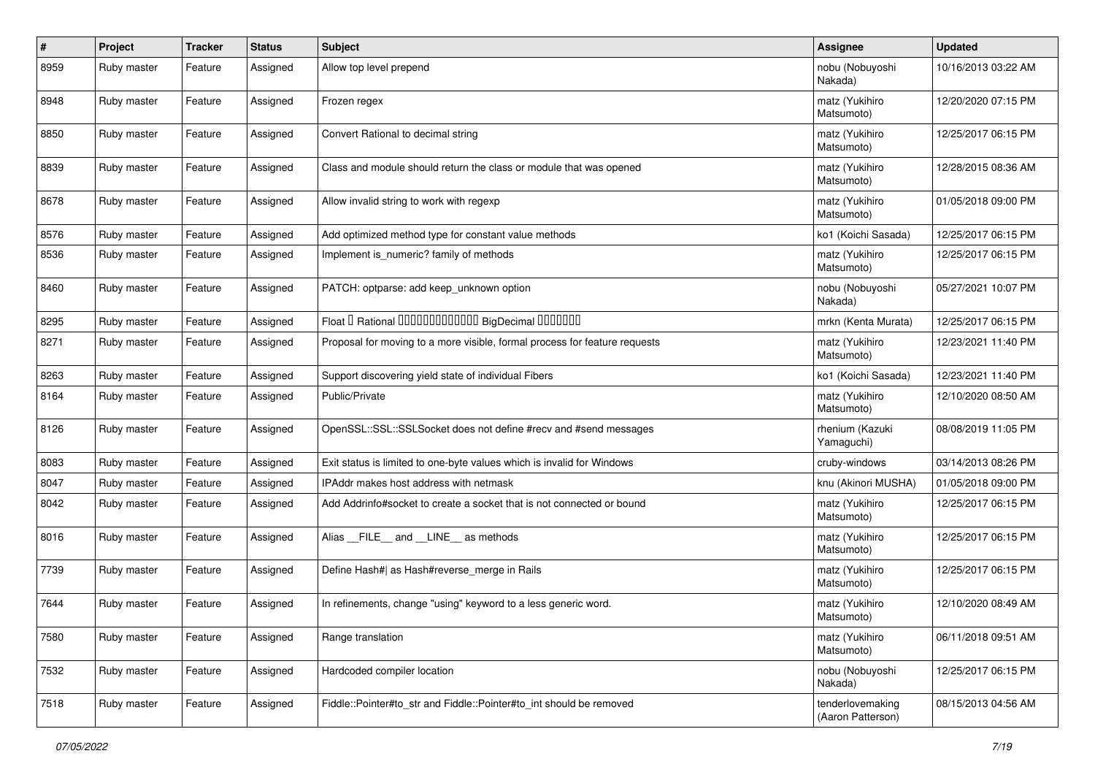| $\pmb{\#}$ | Project     | <b>Tracker</b> | <b>Status</b> | <b>Subject</b>                                                             | <b>Assignee</b>                       | <b>Updated</b>      |
|------------|-------------|----------------|---------------|----------------------------------------------------------------------------|---------------------------------------|---------------------|
| 8959       | Ruby master | Feature        | Assigned      | Allow top level prepend                                                    | nobu (Nobuyoshi<br>Nakada)            | 10/16/2013 03:22 AM |
| 8948       | Ruby master | Feature        | Assigned      | Frozen regex                                                               | matz (Yukihiro<br>Matsumoto)          | 12/20/2020 07:15 PM |
| 8850       | Ruby master | Feature        | Assigned      | Convert Rational to decimal string                                         | matz (Yukihiro<br>Matsumoto)          | 12/25/2017 06:15 PM |
| 8839       | Ruby master | Feature        | Assigned      | Class and module should return the class or module that was opened         | matz (Yukihiro<br>Matsumoto)          | 12/28/2015 08:36 AM |
| 8678       | Ruby master | Feature        | Assigned      | Allow invalid string to work with regexp                                   | matz (Yukihiro<br>Matsumoto)          | 01/05/2018 09:00 PM |
| 8576       | Ruby master | Feature        | Assigned      | Add optimized method type for constant value methods                       | ko1 (Koichi Sasada)                   | 12/25/2017 06:15 PM |
| 8536       | Ruby master | Feature        | Assigned      | Implement is numeric? family of methods                                    | matz (Yukihiro<br>Matsumoto)          | 12/25/2017 06:15 PM |
| 8460       | Ruby master | Feature        | Assigned      | PATCH: optparse: add keep unknown option                                   | nobu (Nobuyoshi<br>Nakada)            | 05/27/2021 10:07 PM |
| 8295       | Ruby master | Feature        | Assigned      | Float I Rational 0000000000000 BigDecimal 0000000                          | mrkn (Kenta Murata)                   | 12/25/2017 06:15 PM |
| 8271       | Ruby master | Feature        | Assigned      | Proposal for moving to a more visible, formal process for feature requests | matz (Yukihiro<br>Matsumoto)          | 12/23/2021 11:40 PM |
| 8263       | Ruby master | Feature        | Assigned      | Support discovering yield state of individual Fibers                       | ko1 (Koichi Sasada)                   | 12/23/2021 11:40 PM |
| 8164       | Ruby master | Feature        | Assigned      | Public/Private                                                             | matz (Yukihiro<br>Matsumoto)          | 12/10/2020 08:50 AM |
| 8126       | Ruby master | Feature        | Assigned      | OpenSSL::SSL::SSLSocket does not define #recv and #send messages           | rhenium (Kazuki<br>Yamaguchi)         | 08/08/2019 11:05 PM |
| 8083       | Ruby master | Feature        | Assigned      | Exit status is limited to one-byte values which is invalid for Windows     | cruby-windows                         | 03/14/2013 08:26 PM |
| 8047       | Ruby master | Feature        | Assigned      | IPAddr makes host address with netmask                                     | knu (Akinori MUSHA)                   | 01/05/2018 09:00 PM |
| 8042       | Ruby master | Feature        | Assigned      | Add Addrinfo#socket to create a socket that is not connected or bound      | matz (Yukihiro<br>Matsumoto)          | 12/25/2017 06:15 PM |
| 8016       | Ruby master | Feature        | Assigned      | Alias FILE and LINE as methods                                             | matz (Yukihiro<br>Matsumoto)          | 12/25/2017 06:15 PM |
| 7739       | Ruby master | Feature        | Assigned      | Define Hash#  as Hash#reverse_merge in Rails                               | matz (Yukihiro<br>Matsumoto)          | 12/25/2017 06:15 PM |
| 7644       | Ruby master | Feature        | Assigned      | In refinements, change "using" keyword to a less generic word.             | matz (Yukihiro<br>Matsumoto)          | 12/10/2020 08:49 AM |
| 7580       | Ruby master | Feature        | Assigned      | Range translation                                                          | matz (Yukihiro<br>Matsumoto)          | 06/11/2018 09:51 AM |
| 7532       | Ruby master | Feature        | Assigned      | Hardcoded compiler location                                                | nobu (Nobuyoshi<br>Nakada)            | 12/25/2017 06:15 PM |
| 7518       | Ruby master | Feature        | Assigned      | Fiddle::Pointer#to_str and Fiddle::Pointer#to_int should be removed        | tenderlovemaking<br>(Aaron Patterson) | 08/15/2013 04:56 AM |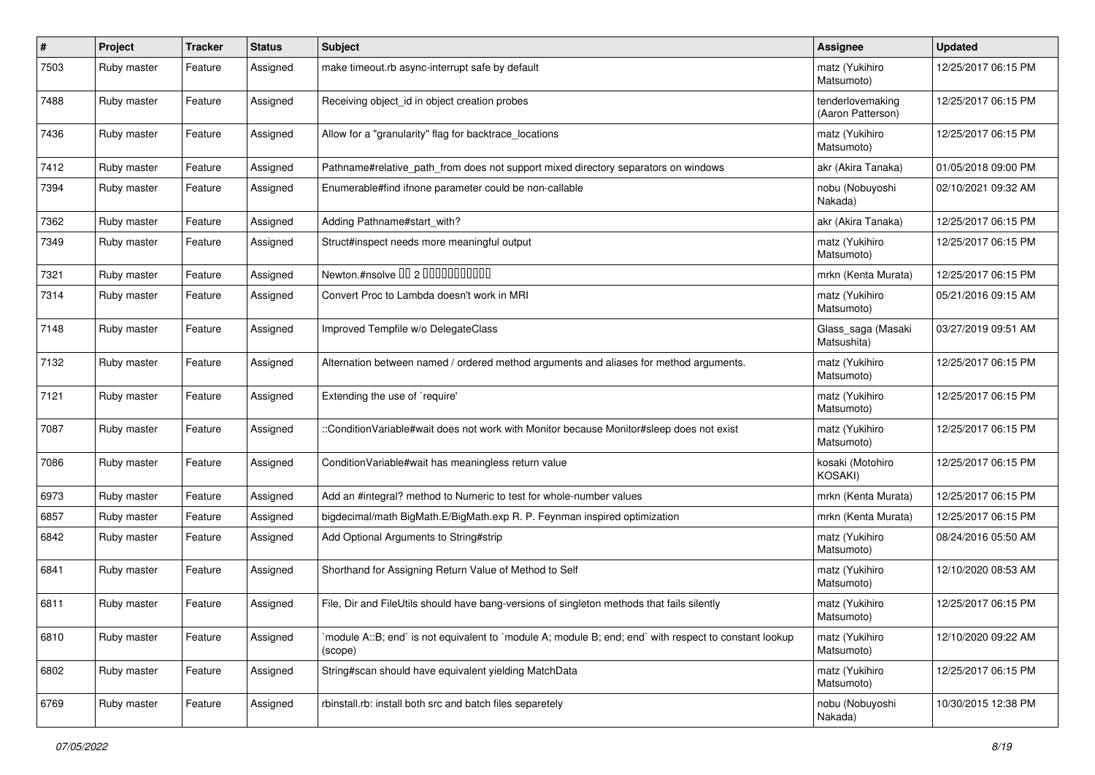| $\pmb{\#}$ | <b>Project</b> | <b>Tracker</b> | <b>Status</b> | Subject                                                                                                           | <b>Assignee</b>                       | <b>Updated</b>      |
|------------|----------------|----------------|---------------|-------------------------------------------------------------------------------------------------------------------|---------------------------------------|---------------------|
| 7503       | Ruby master    | Feature        | Assigned      | make timeout.rb async-interrupt safe by default                                                                   | matz (Yukihiro<br>Matsumoto)          | 12/25/2017 06:15 PM |
| 7488       | Ruby master    | Feature        | Assigned      | Receiving object_id in object creation probes                                                                     | tenderlovemaking<br>(Aaron Patterson) | 12/25/2017 06:15 PM |
| 7436       | Ruby master    | Feature        | Assigned      | Allow for a "granularity" flag for backtrace_locations                                                            | matz (Yukihiro<br>Matsumoto)          | 12/25/2017 06:15 PM |
| 7412       | Ruby master    | Feature        | Assigned      | Pathname#relative_path_from does not support mixed directory separators on windows                                | akr (Akira Tanaka)                    | 01/05/2018 09:00 PM |
| 7394       | Ruby master    | Feature        | Assigned      | Enumerable#find ifnone parameter could be non-callable                                                            | nobu (Nobuyoshi<br>Nakada)            | 02/10/2021 09:32 AM |
| 7362       | Ruby master    | Feature        | Assigned      | Adding Pathname#start with?                                                                                       | akr (Akira Tanaka)                    | 12/25/2017 06:15 PM |
| 7349       | Ruby master    | Feature        | Assigned      | Struct#inspect needs more meaningful output                                                                       | matz (Yukihiro<br>Matsumoto)          | 12/25/2017 06:15 PM |
| 7321       | Ruby master    | Feature        | Assigned      | Newton.#nsolve 00 2 0000000000                                                                                    | mrkn (Kenta Murata)                   | 12/25/2017 06:15 PM |
| 7314       | Ruby master    | Feature        | Assigned      | Convert Proc to Lambda doesn't work in MRI                                                                        | matz (Yukihiro<br>Matsumoto)          | 05/21/2016 09:15 AM |
| 7148       | Ruby master    | Feature        | Assigned      | Improved Tempfile w/o DelegateClass                                                                               | Glass_saga (Masaki<br>Matsushita)     | 03/27/2019 09:51 AM |
| 7132       | Ruby master    | Feature        | Assigned      | Alternation between named / ordered method arguments and aliases for method arguments.                            | matz (Yukihiro<br>Matsumoto)          | 12/25/2017 06:15 PM |
| 7121       | Ruby master    | Feature        | Assigned      | Extending the use of `require'                                                                                    | matz (Yukihiro<br>Matsumoto)          | 12/25/2017 06:15 PM |
| 7087       | Ruby master    | Feature        | Assigned      | :ConditionVariable#wait does not work with Monitor because Monitor#sleep does not exist                           | matz (Yukihiro<br>Matsumoto)          | 12/25/2017 06:15 PM |
| 7086       | Ruby master    | Feature        | Assigned      | Condition Variable#wait has meaningless return value                                                              | kosaki (Motohiro<br><b>KOSAKI)</b>    | 12/25/2017 06:15 PM |
| 6973       | Ruby master    | Feature        | Assigned      | Add an #integral? method to Numeric to test for whole-number values                                               | mrkn (Kenta Murata)                   | 12/25/2017 06:15 PM |
| 6857       | Ruby master    | Feature        | Assigned      | bigdecimal/math BigMath.E/BigMath.exp R. P. Feynman inspired optimization                                         | mrkn (Kenta Murata)                   | 12/25/2017 06:15 PM |
| 6842       | Ruby master    | Feature        | Assigned      | Add Optional Arguments to String#strip                                                                            | matz (Yukihiro<br>Matsumoto)          | 08/24/2016 05:50 AM |
| 6841       | Ruby master    | Feature        | Assigned      | Shorthand for Assigning Return Value of Method to Self                                                            | matz (Yukihiro<br>Matsumoto)          | 12/10/2020 08:53 AM |
| 6811       | Ruby master    | Feature        | Assigned      | File, Dir and FileUtils should have bang-versions of singleton methods that fails silently                        | matz (Yukihiro<br>Matsumoto)          | 12/25/2017 06:15 PM |
| 6810       | Ruby master    | Feature        | Assigned      | module A::B; end` is not equivalent to `module A; module B; end; end` with respect to constant lookup`<br>(scope) | matz (Yukihiro<br>Matsumoto)          | 12/10/2020 09:22 AM |
| 6802       | Ruby master    | Feature        | Assigned      | String#scan should have equivalent yielding MatchData                                                             | matz (Yukihiro<br>Matsumoto)          | 12/25/2017 06:15 PM |
| 6769       | Ruby master    | Feature        | Assigned      | rbinstall.rb: install both src and batch files separetely                                                         | nobu (Nobuyoshi<br>Nakada)            | 10/30/2015 12:38 PM |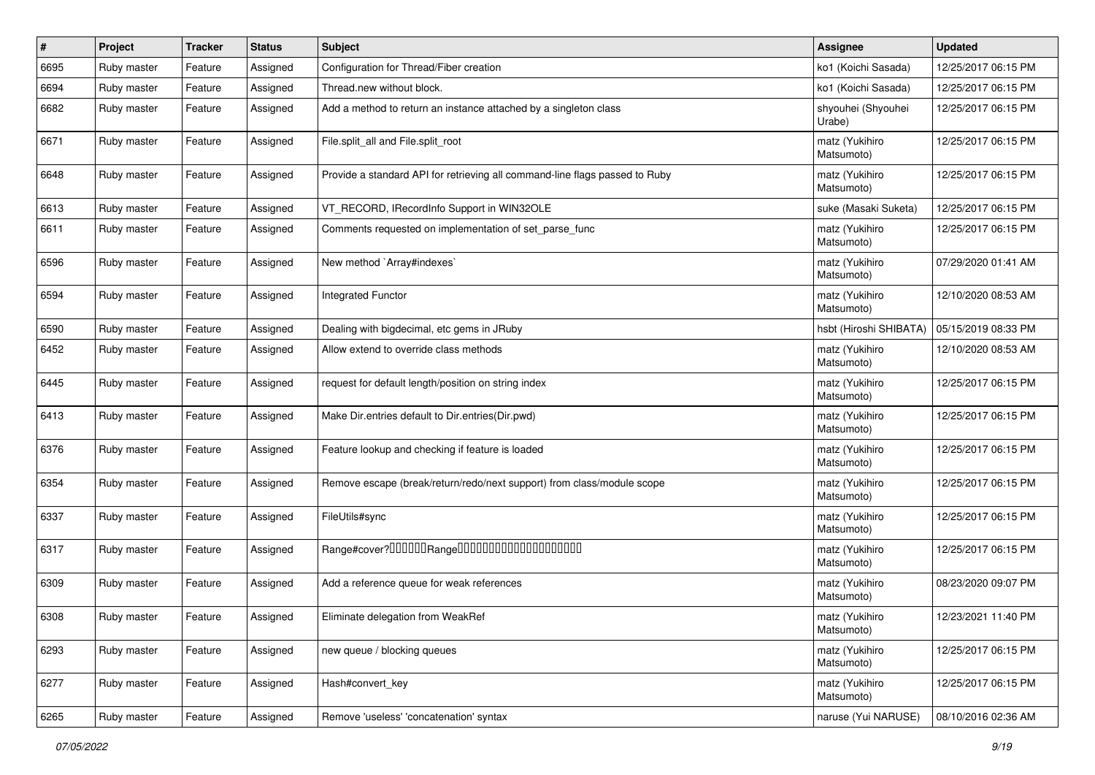| $\pmb{\#}$ | Project     | <b>Tracker</b> | <b>Status</b> | Subject                                                                     | <b>Assignee</b>              | <b>Updated</b>      |
|------------|-------------|----------------|---------------|-----------------------------------------------------------------------------|------------------------------|---------------------|
| 6695       | Ruby master | Feature        | Assigned      | Configuration for Thread/Fiber creation                                     | ko1 (Koichi Sasada)          | 12/25/2017 06:15 PM |
| 6694       | Ruby master | Feature        | Assigned      | Thread.new without block.                                                   | ko1 (Koichi Sasada)          | 12/25/2017 06:15 PM |
| 6682       | Ruby master | Feature        | Assigned      | Add a method to return an instance attached by a singleton class            | shyouhei (Shyouhei<br>Urabe) | 12/25/2017 06:15 PM |
| 6671       | Ruby master | Feature        | Assigned      | File.split_all and File.split_root                                          | matz (Yukihiro<br>Matsumoto) | 12/25/2017 06:15 PM |
| 6648       | Ruby master | Feature        | Assigned      | Provide a standard API for retrieving all command-line flags passed to Ruby | matz (Yukihiro<br>Matsumoto) | 12/25/2017 06:15 PM |
| 6613       | Ruby master | Feature        | Assigned      | VT_RECORD, IRecordInfo Support in WIN32OLE                                  | suke (Masaki Suketa)         | 12/25/2017 06:15 PM |
| 6611       | Ruby master | Feature        | Assigned      | Comments requested on implementation of set parse func                      | matz (Yukihiro<br>Matsumoto) | 12/25/2017 06:15 PM |
| 6596       | Ruby master | Feature        | Assigned      | New method `Array#indexes`                                                  | matz (Yukihiro<br>Matsumoto) | 07/29/2020 01:41 AM |
| 6594       | Ruby master | Feature        | Assigned      | Integrated Functor                                                          | matz (Yukihiro<br>Matsumoto) | 12/10/2020 08:53 AM |
| 6590       | Ruby master | Feature        | Assigned      | Dealing with bigdecimal, etc gems in JRuby                                  | hsbt (Hiroshi SHIBATA)       | 05/15/2019 08:33 PM |
| 6452       | Ruby master | Feature        | Assigned      | Allow extend to override class methods                                      | matz (Yukihiro<br>Matsumoto) | 12/10/2020 08:53 AM |
| 6445       | Ruby master | Feature        | Assigned      | request for default length/position on string index                         | matz (Yukihiro<br>Matsumoto) | 12/25/2017 06:15 PM |
| 6413       | Ruby master | Feature        | Assigned      | Make Dir.entries default to Dir.entries(Dir.pwd)                            | matz (Yukihiro<br>Matsumoto) | 12/25/2017 06:15 PM |
| 6376       | Ruby master | Feature        | Assigned      | Feature lookup and checking if feature is loaded                            | matz (Yukihiro<br>Matsumoto) | 12/25/2017 06:15 PM |
| 6354       | Ruby master | Feature        | Assigned      | Remove escape (break/return/redo/next support) from class/module scope      | matz (Yukihiro<br>Matsumoto) | 12/25/2017 06:15 PM |
| 6337       | Ruby master | Feature        | Assigned      | FileUtils#sync                                                              | matz (Yukihiro<br>Matsumoto) | 12/25/2017 06:15 PM |
| 6317       | Ruby master | Feature        | Assigned      |                                                                             | matz (Yukihiro<br>Matsumoto) | 12/25/2017 06:15 PM |
| 6309       | Ruby master | Feature        | Assigned      | Add a reference queue for weak references                                   | matz (Yukihiro<br>Matsumoto) | 08/23/2020 09:07 PM |
| 6308       | Ruby master | Feature        | Assigned      | Eliminate delegation from WeakRef                                           | matz (Yukihiro<br>Matsumoto) | 12/23/2021 11:40 PM |
| 6293       | Ruby master | Feature        | Assigned      | new queue / blocking queues                                                 | matz (Yukihiro<br>Matsumoto) | 12/25/2017 06:15 PM |
| 6277       | Ruby master | Feature        | Assigned      | Hash#convert_key                                                            | matz (Yukihiro<br>Matsumoto) | 12/25/2017 06:15 PM |
| 6265       | Ruby master | Feature        | Assigned      | Remove 'useless' 'concatenation' syntax                                     | naruse (Yui NARUSE)          | 08/10/2016 02:36 AM |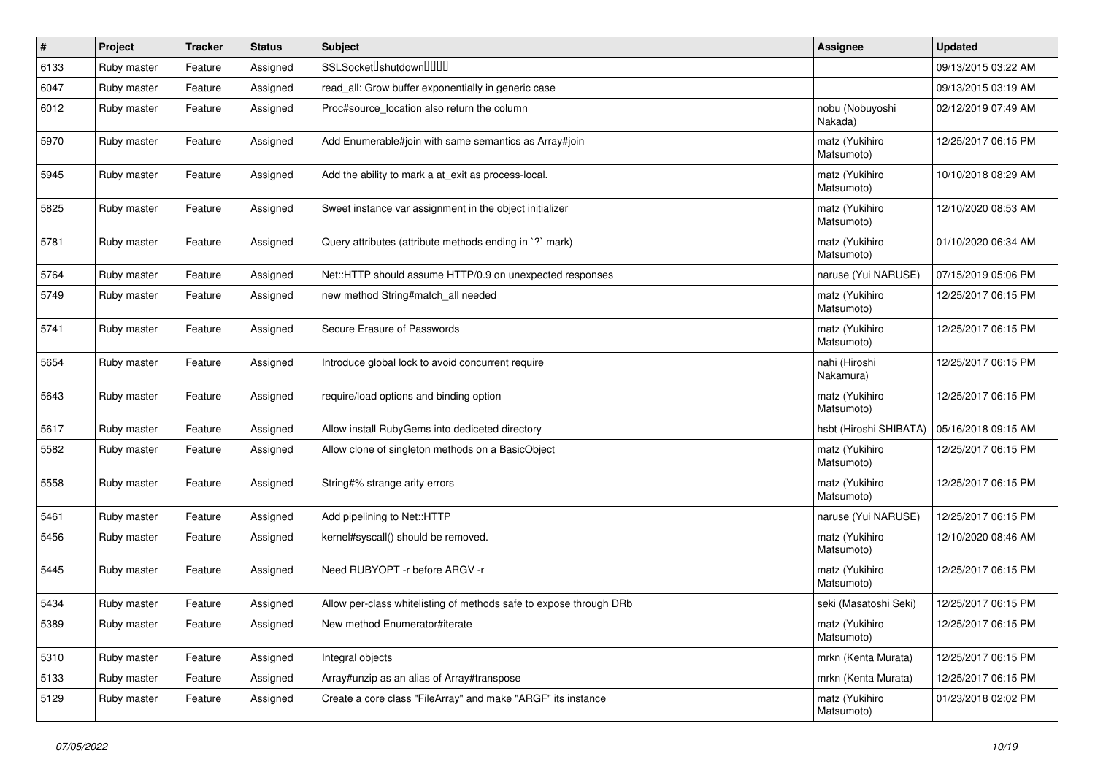| $\pmb{\#}$ | Project     | <b>Tracker</b> | <b>Status</b> | <b>Subject</b>                                                     | <b>Assignee</b>              | <b>Updated</b>      |
|------------|-------------|----------------|---------------|--------------------------------------------------------------------|------------------------------|---------------------|
| 6133       | Ruby master | Feature        | Assigned      | SSLSocket <sup>[</sup> shutdown <sup>[101]</sup>                   |                              | 09/13/2015 03:22 AM |
| 6047       | Ruby master | Feature        | Assigned      | read_all: Grow buffer exponentially in generic case                |                              | 09/13/2015 03:19 AM |
| 6012       | Ruby master | Feature        | Assigned      | Proc#source location also return the column                        | nobu (Nobuyoshi<br>Nakada)   | 02/12/2019 07:49 AM |
| 5970       | Ruby master | Feature        | Assigned      | Add Enumerable#join with same semantics as Array#join              | matz (Yukihiro<br>Matsumoto) | 12/25/2017 06:15 PM |
| 5945       | Ruby master | Feature        | Assigned      | Add the ability to mark a at_exit as process-local.                | matz (Yukihiro<br>Matsumoto) | 10/10/2018 08:29 AM |
| 5825       | Ruby master | Feature        | Assigned      | Sweet instance var assignment in the object initializer            | matz (Yukihiro<br>Matsumoto) | 12/10/2020 08:53 AM |
| 5781       | Ruby master | Feature        | Assigned      | Query attributes (attribute methods ending in `?` mark)            | matz (Yukihiro<br>Matsumoto) | 01/10/2020 06:34 AM |
| 5764       | Ruby master | Feature        | Assigned      | Net::HTTP should assume HTTP/0.9 on unexpected responses           | naruse (Yui NARUSE)          | 07/15/2019 05:06 PM |
| 5749       | Ruby master | Feature        | Assigned      | new method String#match_all needed                                 | matz (Yukihiro<br>Matsumoto) | 12/25/2017 06:15 PM |
| 5741       | Ruby master | Feature        | Assigned      | Secure Erasure of Passwords                                        | matz (Yukihiro<br>Matsumoto) | 12/25/2017 06:15 PM |
| 5654       | Ruby master | Feature        | Assigned      | Introduce global lock to avoid concurrent require                  | nahi (Hiroshi<br>Nakamura)   | 12/25/2017 06:15 PM |
| 5643       | Ruby master | Feature        | Assigned      | require/load options and binding option                            | matz (Yukihiro<br>Matsumoto) | 12/25/2017 06:15 PM |
| 5617       | Ruby master | Feature        | Assigned      | Allow install RubyGems into dediceted directory                    | hsbt (Hiroshi SHIBATA)       | 05/16/2018 09:15 AM |
| 5582       | Ruby master | Feature        | Assigned      | Allow clone of singleton methods on a BasicObject                  | matz (Yukihiro<br>Matsumoto) | 12/25/2017 06:15 PM |
| 5558       | Ruby master | Feature        | Assigned      | String#% strange arity errors                                      | matz (Yukihiro<br>Matsumoto) | 12/25/2017 06:15 PM |
| 5461       | Ruby master | Feature        | Assigned      | Add pipelining to Net::HTTP                                        | naruse (Yui NARUSE)          | 12/25/2017 06:15 PM |
| 5456       | Ruby master | Feature        | Assigned      | kernel#syscall() should be removed.                                | matz (Yukihiro<br>Matsumoto) | 12/10/2020 08:46 AM |
| 5445       | Ruby master | Feature        | Assigned      | Need RUBYOPT - r before ARGV - r                                   | matz (Yukihiro<br>Matsumoto) | 12/25/2017 06:15 PM |
| 5434       | Ruby master | Feature        | Assigned      | Allow per-class whitelisting of methods safe to expose through DRb | seki (Masatoshi Seki)        | 12/25/2017 06:15 PM |
| 5389       | Ruby master | Feature        | Assigned      | New method Enumerator#iterate                                      | matz (Yukihiro<br>Matsumoto) | 12/25/2017 06:15 PM |
| 5310       | Ruby master | Feature        | Assigned      | Integral objects                                                   | mrkn (Kenta Murata)          | 12/25/2017 06:15 PM |
| 5133       | Ruby master | Feature        | Assigned      | Array#unzip as an alias of Array#transpose                         | mrkn (Kenta Murata)          | 12/25/2017 06:15 PM |
| 5129       | Ruby master | Feature        | Assigned      | Create a core class "FileArray" and make "ARGF" its instance       | matz (Yukihiro<br>Matsumoto) | 01/23/2018 02:02 PM |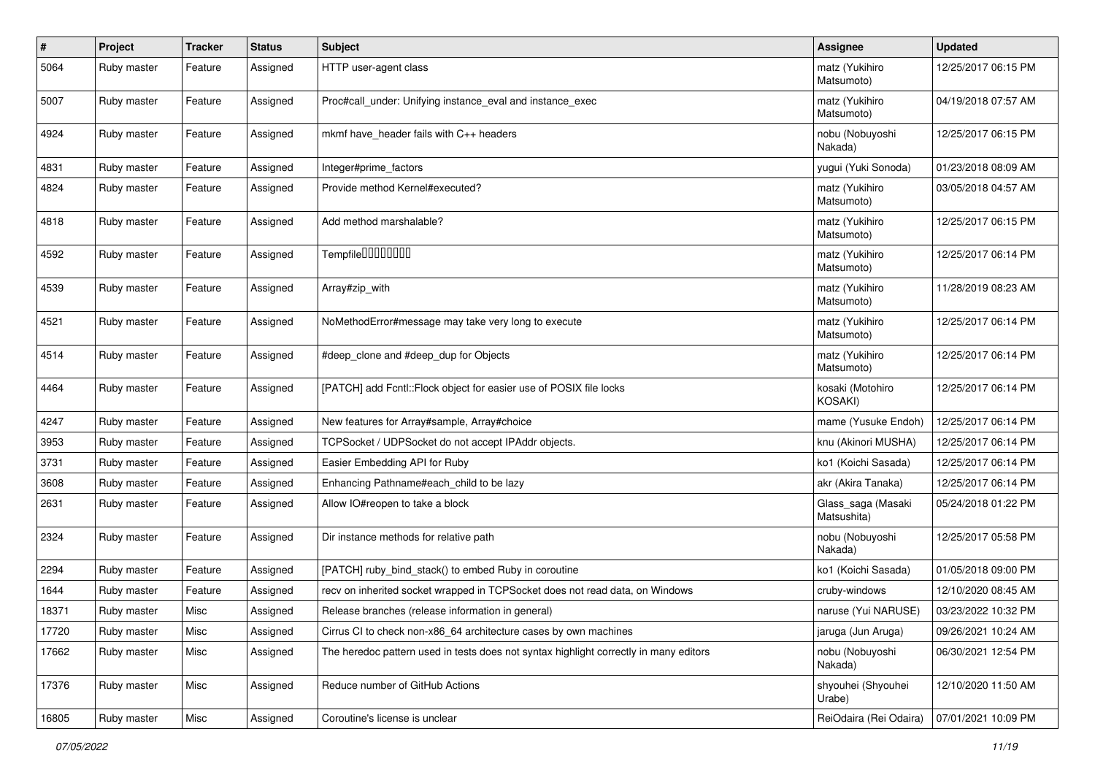| $\pmb{\#}$ | Project     | Tracker | <b>Status</b> | <b>Subject</b>                                                                        | <b>Assignee</b>                   | <b>Updated</b>      |
|------------|-------------|---------|---------------|---------------------------------------------------------------------------------------|-----------------------------------|---------------------|
| 5064       | Ruby master | Feature | Assigned      | HTTP user-agent class                                                                 | matz (Yukihiro<br>Matsumoto)      | 12/25/2017 06:15 PM |
| 5007       | Ruby master | Feature | Assigned      | Proc#call_under: Unifying instance_eval and instance_exec                             | matz (Yukihiro<br>Matsumoto)      | 04/19/2018 07:57 AM |
| 4924       | Ruby master | Feature | Assigned      | mkmf have header fails with C++ headers                                               | nobu (Nobuyoshi<br>Nakada)        | 12/25/2017 06:15 PM |
| 4831       | Ruby master | Feature | Assigned      | Integer#prime_factors                                                                 | yugui (Yuki Sonoda)               | 01/23/2018 08:09 AM |
| 4824       | Ruby master | Feature | Assigned      | Provide method Kernel#executed?                                                       | matz (Yukihiro<br>Matsumoto)      | 03/05/2018 04:57 AM |
| 4818       | Ruby master | Feature | Assigned      | Add method marshalable?                                                               | matz (Yukihiro<br>Matsumoto)      | 12/25/2017 06:15 PM |
| 4592       | Ruby master | Feature | Assigned      | Tempfile0000000                                                                       | matz (Yukihiro<br>Matsumoto)      | 12/25/2017 06:14 PM |
| 4539       | Ruby master | Feature | Assigned      | Array#zip_with                                                                        | matz (Yukihiro<br>Matsumoto)      | 11/28/2019 08:23 AM |
| 4521       | Ruby master | Feature | Assigned      | NoMethodError#message may take very long to execute                                   | matz (Yukihiro<br>Matsumoto)      | 12/25/2017 06:14 PM |
| 4514       | Ruby master | Feature | Assigned      | #deep_clone and #deep_dup for Objects                                                 | matz (Yukihiro<br>Matsumoto)      | 12/25/2017 06:14 PM |
| 4464       | Ruby master | Feature | Assigned      | [PATCH] add Fcntl::Flock object for easier use of POSIX file locks                    | kosaki (Motohiro<br>KOSAKI)       | 12/25/2017 06:14 PM |
| 4247       | Ruby master | Feature | Assigned      | New features for Array#sample, Array#choice                                           | mame (Yusuke Endoh)               | 12/25/2017 06:14 PM |
| 3953       | Ruby master | Feature | Assigned      | TCPSocket / UDPSocket do not accept IPAddr objects.                                   | knu (Akinori MUSHA)               | 12/25/2017 06:14 PM |
| 3731       | Ruby master | Feature | Assigned      | Easier Embedding API for Ruby                                                         | ko1 (Koichi Sasada)               | 12/25/2017 06:14 PM |
| 3608       | Ruby master | Feature | Assigned      | Enhancing Pathname#each_child to be lazy                                              | akr (Akira Tanaka)                | 12/25/2017 06:14 PM |
| 2631       | Ruby master | Feature | Assigned      | Allow IO#reopen to take a block                                                       | Glass_saga (Masaki<br>Matsushita) | 05/24/2018 01:22 PM |
| 2324       | Ruby master | Feature | Assigned      | Dir instance methods for relative path                                                | nobu (Nobuyoshi<br>Nakada)        | 12/25/2017 05:58 PM |
| 2294       | Ruby master | Feature | Assigned      | [PATCH] ruby_bind_stack() to embed Ruby in coroutine                                  | ko1 (Koichi Sasada)               | 01/05/2018 09:00 PM |
| 1644       | Ruby master | Feature | Assigned      | recv on inherited socket wrapped in TCPSocket does not read data, on Windows          | cruby-windows                     | 12/10/2020 08:45 AM |
| 18371      | Ruby master | Misc    | Assigned      | Release branches (release information in general)                                     | naruse (Yui NARUSE)               | 03/23/2022 10:32 PM |
| 17720      | Ruby master | Misc    | Assigned      | Cirrus CI to check non-x86_64 architecture cases by own machines                      | jaruga (Jun Aruga)                | 09/26/2021 10:24 AM |
| 17662      | Ruby master | Misc    | Assigned      | The heredoc pattern used in tests does not syntax highlight correctly in many editors | nobu (Nobuyoshi<br>Nakada)        | 06/30/2021 12:54 PM |
| 17376      | Ruby master | Misc    | Assigned      | Reduce number of GitHub Actions                                                       | shyouhei (Shyouhei<br>Urabe)      | 12/10/2020 11:50 AM |
| 16805      | Ruby master | Misc    | Assigned      | Coroutine's license is unclear                                                        | ReiOdaira (Rei Odaira)            | 07/01/2021 10:09 PM |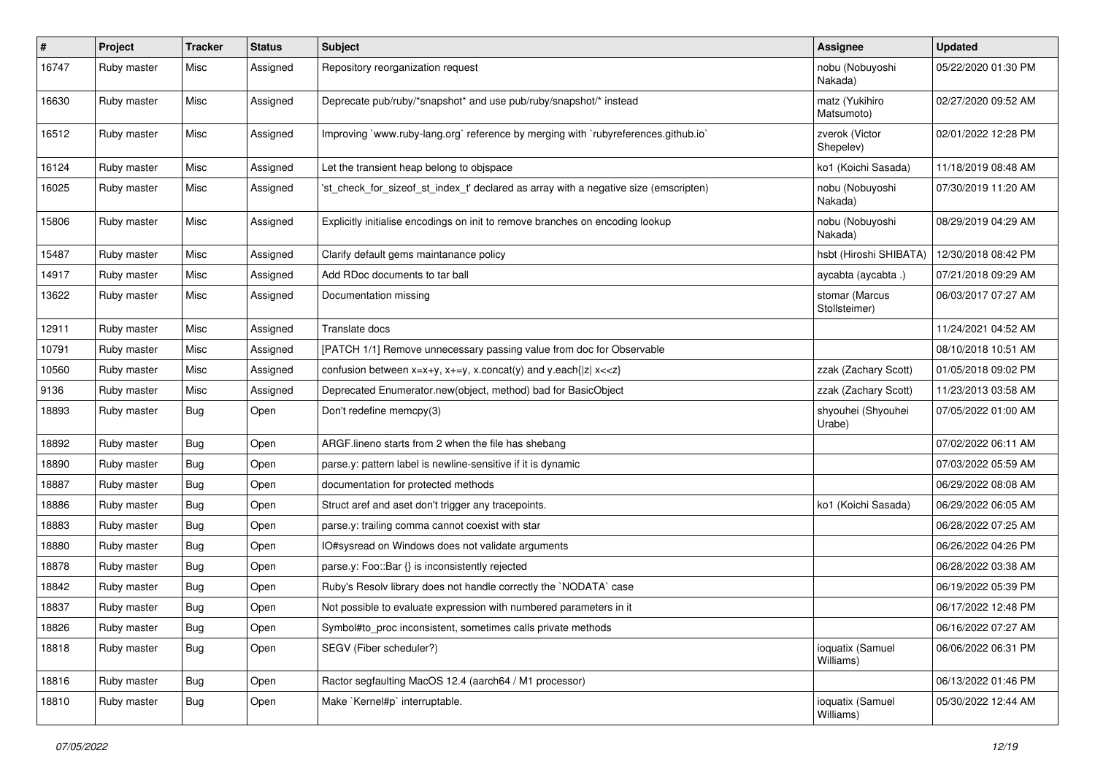| #     | Project     | <b>Tracker</b> | <b>Status</b> | Subject                                                                              | Assignee                        | <b>Updated</b>      |
|-------|-------------|----------------|---------------|--------------------------------------------------------------------------------------|---------------------------------|---------------------|
| 16747 | Ruby master | Misc           | Assigned      | Repository reorganization request                                                    | nobu (Nobuyoshi<br>Nakada)      | 05/22/2020 01:30 PM |
| 16630 | Ruby master | Misc           | Assigned      | Deprecate pub/ruby/*snapshot* and use pub/ruby/snapshot/* instead                    | matz (Yukihiro<br>Matsumoto)    | 02/27/2020 09:52 AM |
| 16512 | Ruby master | Misc           | Assigned      | Improving `www.ruby-lang.org` reference by merging with `rubyreferences.github.io`   | zverok (Victor<br>Shepelev)     | 02/01/2022 12:28 PM |
| 16124 | Ruby master | Misc           | Assigned      | Let the transient heap belong to objspace                                            | ko1 (Koichi Sasada)             | 11/18/2019 08:48 AM |
| 16025 | Ruby master | Misc           | Assigned      | 'st_check_for_sizeof_st_index_t' declared as array with a negative size (emscripten) | nobu (Nobuyoshi<br>Nakada)      | 07/30/2019 11:20 AM |
| 15806 | Ruby master | Misc           | Assigned      | Explicitly initialise encodings on init to remove branches on encoding lookup        | nobu (Nobuyoshi<br>Nakada)      | 08/29/2019 04:29 AM |
| 15487 | Ruby master | Misc           | Assigned      | Clarify default gems maintanance policy                                              | hsbt (Hiroshi SHIBATA)          | 12/30/2018 08:42 PM |
| 14917 | Ruby master | Misc           | Assigned      | Add RDoc documents to tar ball                                                       | aycabta (aycabta .)             | 07/21/2018 09:29 AM |
| 13622 | Ruby master | Misc           | Assigned      | Documentation missing                                                                | stomar (Marcus<br>Stollsteimer) | 06/03/2017 07:27 AM |
| 12911 | Ruby master | Misc           | Assigned      | Translate docs                                                                       |                                 | 11/24/2021 04:52 AM |
| 10791 | Ruby master | Misc           | Assigned      | [PATCH 1/1] Remove unnecessary passing value from doc for Observable                 |                                 | 08/10/2018 10:51 AM |
| 10560 | Ruby master | Misc           | Assigned      | confusion between $x=x+y$ , $x+=y$ , x.concat(y) and y.each{ z  $x<}$                | zzak (Zachary Scott)            | 01/05/2018 09:02 PM |
| 9136  | Ruby master | Misc           | Assigned      | Deprecated Enumerator.new(object, method) bad for BasicObject                        | zzak (Zachary Scott)            | 11/23/2013 03:58 AM |
| 18893 | Ruby master | Bug            | Open          | Don't redefine memcpy(3)                                                             | shyouhei (Shyouhei<br>Urabe)    | 07/05/2022 01:00 AM |
| 18892 | Ruby master | Bug            | Open          | ARGF lineno starts from 2 when the file has shebang                                  |                                 | 07/02/2022 06:11 AM |
| 18890 | Ruby master | Bug            | Open          | parse.y: pattern label is newline-sensitive if it is dynamic                         |                                 | 07/03/2022 05:59 AM |
| 18887 | Ruby master | Bug            | Open          | documentation for protected methods                                                  |                                 | 06/29/2022 08:08 AM |
| 18886 | Ruby master | Bug            | Open          | Struct aref and aset don't trigger any tracepoints.                                  | ko1 (Koichi Sasada)             | 06/29/2022 06:05 AM |
| 18883 | Ruby master | Bug            | Open          | parse.y: trailing comma cannot coexist with star                                     |                                 | 06/28/2022 07:25 AM |
| 18880 | Ruby master | <b>Bug</b>     | Open          | IO#sysread on Windows does not validate arguments                                    |                                 | 06/26/2022 04:26 PM |
| 18878 | Ruby master | <b>Bug</b>     | Open          | parse.y: Foo::Bar {} is inconsistently rejected                                      |                                 | 06/28/2022 03:38 AM |
| 18842 | Ruby master | Bug            | Open          | Ruby's Resolv library does not handle correctly the `NODATA` case                    |                                 | 06/19/2022 05:39 PM |
| 18837 | Ruby master | Bug            | Open          | Not possible to evaluate expression with numbered parameters in it                   |                                 | 06/17/2022 12:48 PM |
| 18826 | Ruby master | <b>Bug</b>     | Open          | Symbol#to_proc inconsistent, sometimes calls private methods                         |                                 | 06/16/2022 07:27 AM |
| 18818 | Ruby master | Bug            | Open          | SEGV (Fiber scheduler?)                                                              | ioquatix (Samuel<br>Williams)   | 06/06/2022 06:31 PM |
| 18816 | Ruby master | Bug            | Open          | Ractor segfaulting MacOS 12.4 (aarch64 / M1 processor)                               |                                 | 06/13/2022 01:46 PM |
| 18810 | Ruby master | <b>Bug</b>     | Open          | Make `Kernel#p` interruptable.                                                       | ioquatix (Samuel<br>Williams)   | 05/30/2022 12:44 AM |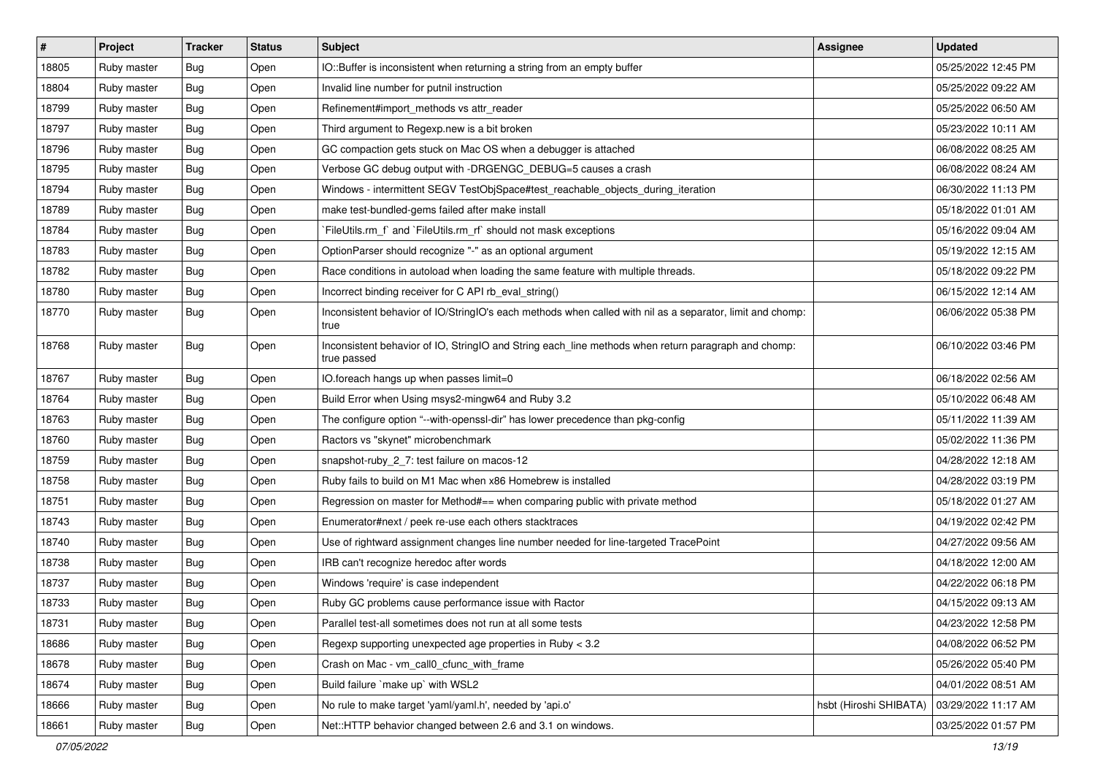| #     | Project     | <b>Tracker</b> | <b>Status</b> | <b>Subject</b>                                                                                                     | <b>Assignee</b>        | <b>Updated</b>      |
|-------|-------------|----------------|---------------|--------------------------------------------------------------------------------------------------------------------|------------------------|---------------------|
| 18805 | Ruby master | Bug            | Open          | IO::Buffer is inconsistent when returning a string from an empty buffer                                            |                        | 05/25/2022 12:45 PM |
| 18804 | Ruby master | Bug            | Open          | Invalid line number for putnil instruction                                                                         |                        | 05/25/2022 09:22 AM |
| 18799 | Ruby master | Bug            | Open          | Refinement#import_methods vs attr_reader                                                                           |                        | 05/25/2022 06:50 AM |
| 18797 | Ruby master | <b>Bug</b>     | Open          | Third argument to Regexp.new is a bit broken                                                                       |                        | 05/23/2022 10:11 AM |
| 18796 | Ruby master | Bug            | Open          | GC compaction gets stuck on Mac OS when a debugger is attached                                                     |                        | 06/08/2022 08:25 AM |
| 18795 | Ruby master | <b>Bug</b>     | Open          | Verbose GC debug output with -DRGENGC_DEBUG=5 causes a crash                                                       |                        | 06/08/2022 08:24 AM |
| 18794 | Ruby master | Bug            | Open          | Windows - intermittent SEGV TestObjSpace#test_reachable_objects_during_iteration                                   |                        | 06/30/2022 11:13 PM |
| 18789 | Ruby master | Bug            | Open          | make test-bundled-gems failed after make install                                                                   |                        | 05/18/2022 01:01 AM |
| 18784 | Ruby master | <b>Bug</b>     | Open          | FileUtils.rm_f` and `FileUtils.rm_rf` should not mask exceptions                                                   |                        | 05/16/2022 09:04 AM |
| 18783 | Ruby master | Bug            | Open          | OptionParser should recognize "-" as an optional argument                                                          |                        | 05/19/2022 12:15 AM |
| 18782 | Ruby master | <b>Bug</b>     | Open          | Race conditions in autoload when loading the same feature with multiple threads.                                   |                        | 05/18/2022 09:22 PM |
| 18780 | Ruby master | Bug            | Open          | Incorrect binding receiver for C API rb_eval_string()                                                              |                        | 06/15/2022 12:14 AM |
| 18770 | Ruby master | Bug            | Open          | Inconsistent behavior of IO/StringIO's each methods when called with nil as a separator, limit and chomp:<br>true  |                        | 06/06/2022 05:38 PM |
| 18768 | Ruby master | Bug            | Open          | Inconsistent behavior of IO, StringIO and String each_line methods when return paragraph and chomp:<br>true passed |                        | 06/10/2022 03:46 PM |
| 18767 | Ruby master | <b>Bug</b>     | Open          | IO.foreach hangs up when passes limit=0                                                                            |                        | 06/18/2022 02:56 AM |
| 18764 | Ruby master | <b>Bug</b>     | Open          | Build Error when Using msys2-mingw64 and Ruby 3.2                                                                  |                        | 05/10/2022 06:48 AM |
| 18763 | Ruby master | <b>Bug</b>     | Open          | The configure option "--with-openssl-dir" has lower precedence than pkg-config                                     |                        | 05/11/2022 11:39 AM |
| 18760 | Ruby master | <b>Bug</b>     | Open          | Ractors vs "skynet" microbenchmark                                                                                 |                        | 05/02/2022 11:36 PM |
| 18759 | Ruby master | Bug            | Open          | snapshot-ruby_2_7: test failure on macos-12                                                                        |                        | 04/28/2022 12:18 AM |
| 18758 | Ruby master | Bug            | Open          | Ruby fails to build on M1 Mac when x86 Homebrew is installed                                                       |                        | 04/28/2022 03:19 PM |
| 18751 | Ruby master | Bug            | Open          | Regression on master for Method#== when comparing public with private method                                       |                        | 05/18/2022 01:27 AM |
| 18743 | Ruby master | <b>Bug</b>     | Open          | Enumerator#next / peek re-use each others stacktraces                                                              |                        | 04/19/2022 02:42 PM |
| 18740 | Ruby master | <b>Bug</b>     | Open          | Use of rightward assignment changes line number needed for line-targeted TracePoint                                |                        | 04/27/2022 09:56 AM |
| 18738 | Ruby master | Bug            | Open          | IRB can't recognize heredoc after words                                                                            |                        | 04/18/2022 12:00 AM |
| 18737 | Ruby master | <b>Bug</b>     | Open          | Windows 'require' is case independent                                                                              |                        | 04/22/2022 06:18 PM |
| 18733 | Ruby master | <b>Bug</b>     | Open          | Ruby GC problems cause performance issue with Ractor                                                               |                        | 04/15/2022 09:13 AM |
| 18731 | Ruby master | <b>Bug</b>     | Open          | Parallel test-all sometimes does not run at all some tests                                                         |                        | 04/23/2022 12:58 PM |
| 18686 | Ruby master | <b>Bug</b>     | Open          | Regexp supporting unexpected age properties in Ruby < 3.2                                                          |                        | 04/08/2022 06:52 PM |
| 18678 | Ruby master | <b>Bug</b>     | Open          | Crash on Mac - vm_call0_cfunc_with_frame                                                                           |                        | 05/26/2022 05:40 PM |
| 18674 | Ruby master | <b>Bug</b>     | Open          | Build failure `make up` with WSL2                                                                                  |                        | 04/01/2022 08:51 AM |
| 18666 | Ruby master | <b>Bug</b>     | Open          | No rule to make target 'yaml/yaml.h', needed by 'api.o'                                                            | hsbt (Hiroshi SHIBATA) | 03/29/2022 11:17 AM |
| 18661 | Ruby master | <b>Bug</b>     | Open          | Net::HTTP behavior changed between 2.6 and 3.1 on windows.                                                         |                        | 03/25/2022 01:57 PM |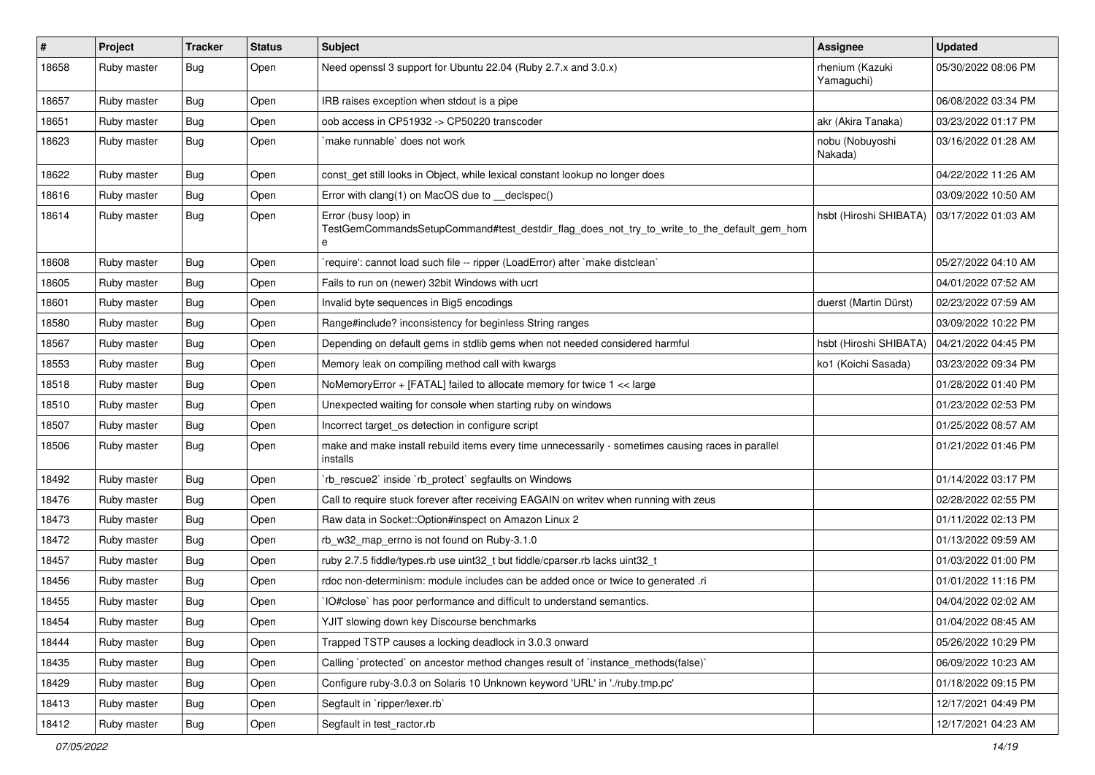| $\sharp$ | Project     | <b>Tracker</b> | <b>Status</b> | <b>Subject</b>                                                                                                          | Assignee                      | <b>Updated</b>      |
|----------|-------------|----------------|---------------|-------------------------------------------------------------------------------------------------------------------------|-------------------------------|---------------------|
| 18658    | Ruby master | Bug            | Open          | Need openssl 3 support for Ubuntu 22.04 (Ruby 2.7.x and 3.0.x)                                                          | rhenium (Kazuki<br>Yamaguchi) | 05/30/2022 08:06 PM |
| 18657    | Ruby master | Bug            | Open          | IRB raises exception when stdout is a pipe                                                                              |                               | 06/08/2022 03:34 PM |
| 18651    | Ruby master | Bug            | Open          | oob access in CP51932 -> CP50220 transcoder                                                                             | akr (Akira Tanaka)            | 03/23/2022 01:17 PM |
| 18623    | Ruby master | Bug            | Open          | make runnable` does not work                                                                                            | nobu (Nobuyoshi<br>Nakada)    | 03/16/2022 01:28 AM |
| 18622    | Ruby master | Bug            | Open          | const_get still looks in Object, while lexical constant lookup no longer does                                           |                               | 04/22/2022 11:26 AM |
| 18616    | Ruby master | Bug            | Open          | Error with clang(1) on MacOS due to _declspec()                                                                         |                               | 03/09/2022 10:50 AM |
| 18614    | Ruby master | Bug            | Open          | Error (busy loop) in<br>TestGemCommandsSetupCommand#test_destdir_flag_does_not_try_to_write_to_the_default_gem_hom<br>e | hsbt (Hiroshi SHIBATA)        | 03/17/2022 01:03 AM |
| 18608    | Ruby master | Bug            | Open          | 'require': cannot load such file -- ripper (LoadError) after 'make distclean'                                           |                               | 05/27/2022 04:10 AM |
| 18605    | Ruby master | Bug            | Open          | Fails to run on (newer) 32bit Windows with ucrt                                                                         |                               | 04/01/2022 07:52 AM |
| 18601    | Ruby master | Bug            | Open          | Invalid byte sequences in Big5 encodings                                                                                | duerst (Martin Dürst)         | 02/23/2022 07:59 AM |
| 18580    | Ruby master | Bug            | Open          | Range#include? inconsistency for beginless String ranges                                                                |                               | 03/09/2022 10:22 PM |
| 18567    | Ruby master | Bug            | Open          | Depending on default gems in stdlib gems when not needed considered harmful                                             | hsbt (Hiroshi SHIBATA)        | 04/21/2022 04:45 PM |
| 18553    | Ruby master | Bug            | Open          | Memory leak on compiling method call with kwargs                                                                        | ko1 (Koichi Sasada)           | 03/23/2022 09:34 PM |
| 18518    | Ruby master | Bug            | Open          | NoMemoryError + [FATAL] failed to allocate memory for twice 1 << large                                                  |                               | 01/28/2022 01:40 PM |
| 18510    | Ruby master | Bug            | Open          | Unexpected waiting for console when starting ruby on windows                                                            |                               | 01/23/2022 02:53 PM |
| 18507    | Ruby master | Bug            | Open          | Incorrect target_os detection in configure script                                                                       |                               | 01/25/2022 08:57 AM |
| 18506    | Ruby master | <b>Bug</b>     | Open          | make and make install rebuild items every time unnecessarily - sometimes causing races in parallel<br>installs          |                               | 01/21/2022 01:46 PM |
| 18492    | Ruby master | Bug            | Open          | 'rb_rescue2' inside 'rb_protect' segfaults on Windows                                                                   |                               | 01/14/2022 03:17 PM |
| 18476    | Ruby master | Bug            | Open          | Call to require stuck forever after receiving EAGAIN on writev when running with zeus                                   |                               | 02/28/2022 02:55 PM |
| 18473    | Ruby master | Bug            | Open          | Raw data in Socket:: Option#inspect on Amazon Linux 2                                                                   |                               | 01/11/2022 02:13 PM |
| 18472    | Ruby master | Bug            | Open          | rb_w32_map_errno is not found on Ruby-3.1.0                                                                             |                               | 01/13/2022 09:59 AM |
| 18457    | Ruby master | Bug            | Open          | ruby 2.7.5 fiddle/types.rb use uint32 t but fiddle/cparser.rb lacks uint32 t                                            |                               | 01/03/2022 01:00 PM |
| 18456    | Ruby master | Bug            | Open          | rdoc non-determinism: module includes can be added once or twice to generated .ri                                       |                               | 01/01/2022 11:16 PM |
| 18455    | Ruby master | Bug            | Open          | IO#close` has poor performance and difficult to understand semantics.                                                   |                               | 04/04/2022 02:02 AM |
| 18454    | Ruby master | Bug            | Open          | YJIT slowing down key Discourse benchmarks                                                                              |                               | 01/04/2022 08:45 AM |
| 18444    | Ruby master | Bug            | Open          | Trapped TSTP causes a locking deadlock in 3.0.3 onward                                                                  |                               | 05/26/2022 10:29 PM |
| 18435    | Ruby master | <b>Bug</b>     | Open          | Calling `protected` on ancestor method changes result of `instance_methods(false)`                                      |                               | 06/09/2022 10:23 AM |
| 18429    | Ruby master | <b>Bug</b>     | Open          | Configure ruby-3.0.3 on Solaris 10 Unknown keyword 'URL' in './ruby.tmp.pc'                                             |                               | 01/18/2022 09:15 PM |
| 18413    | Ruby master | <b>Bug</b>     | Open          | Segfault in `ripper/lexer.rb`                                                                                           |                               | 12/17/2021 04:49 PM |
| 18412    | Ruby master | Bug            | Open          | Segfault in test_ractor.rb                                                                                              |                               | 12/17/2021 04:23 AM |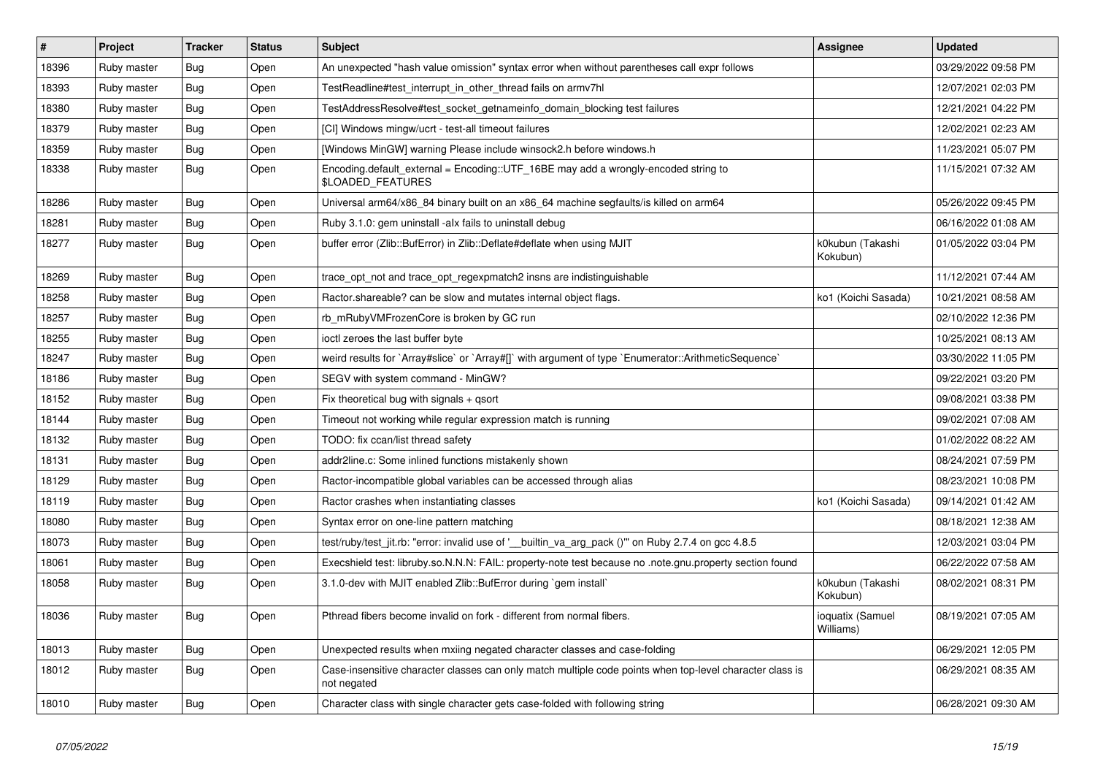| $\vert$ # | Project     | <b>Tracker</b> | <b>Status</b> | <b>Subject</b>                                                                                                          | <b>Assignee</b>               | <b>Updated</b>      |
|-----------|-------------|----------------|---------------|-------------------------------------------------------------------------------------------------------------------------|-------------------------------|---------------------|
| 18396     | Ruby master | <b>Bug</b>     | Open          | An unexpected "hash value omission" syntax error when without parentheses call expr follows                             |                               | 03/29/2022 09:58 PM |
| 18393     | Ruby master | <b>Bug</b>     | Open          | TestReadline#test interrupt in other thread fails on armv7hl                                                            |                               | 12/07/2021 02:03 PM |
| 18380     | Ruby master | Bug            | Open          | TestAddressResolve#test_socket_getnameinfo_domain_blocking test failures                                                |                               | 12/21/2021 04:22 PM |
| 18379     | Ruby master | Bug            | Open          | [CI] Windows mingw/ucrt - test-all timeout failures                                                                     |                               | 12/02/2021 02:23 AM |
| 18359     | Ruby master | Bug            | Open          | [Windows MinGW] warning Please include winsock2.h before windows.h                                                      |                               | 11/23/2021 05:07 PM |
| 18338     | Ruby master | Bug            | Open          | Encoding.default_external = Encoding::UTF_16BE may add a wrongly-encoded string to<br>\$LOADED_FEATURES                 |                               | 11/15/2021 07:32 AM |
| 18286     | Ruby master | Bug            | Open          | Universal arm64/x86_84 binary built on an x86_64 machine segfaults/is killed on arm64                                   |                               | 05/26/2022 09:45 PM |
| 18281     | Ruby master | <b>Bug</b>     | Open          | Ruby 3.1.0: gem uninstall -alx fails to uninstall debug                                                                 |                               | 06/16/2022 01:08 AM |
| 18277     | Ruby master | Bug            | Open          | buffer error (Zlib::BufError) in Zlib::Deflate#deflate when using MJIT                                                  | k0kubun (Takashi<br>Kokubun)  | 01/05/2022 03:04 PM |
| 18269     | Ruby master | Bug            | Open          | trace_opt_not and trace_opt_regexpmatch2 insns are indistinguishable                                                    |                               | 11/12/2021 07:44 AM |
| 18258     | Ruby master | Bug            | Open          | Ractor.shareable? can be slow and mutates internal object flags.                                                        | ko1 (Koichi Sasada)           | 10/21/2021 08:58 AM |
| 18257     | Ruby master | <b>Bug</b>     | Open          | rb_mRubyVMFrozenCore is broken by GC run                                                                                |                               | 02/10/2022 12:36 PM |
| 18255     | Ruby master | Bug            | Open          | ioctl zeroes the last buffer byte                                                                                       |                               | 10/25/2021 08:13 AM |
| 18247     | Ruby master | Bug            | Open          | weird results for `Array#slice` or `Array#[]` with argument of type `Enumerator::ArithmeticSequence`                    |                               | 03/30/2022 11:05 PM |
| 18186     | Ruby master | Bug            | Open          | SEGV with system command - MinGW?                                                                                       |                               | 09/22/2021 03:20 PM |
| 18152     | Ruby master | Bug            | Open          | Fix theoretical bug with signals + gsort                                                                                |                               | 09/08/2021 03:38 PM |
| 18144     | Ruby master | Bug            | Open          | Timeout not working while regular expression match is running                                                           |                               | 09/02/2021 07:08 AM |
| 18132     | Ruby master | <b>Bug</b>     | Open          | TODO: fix ccan/list thread safety                                                                                       |                               | 01/02/2022 08:22 AM |
| 18131     | Ruby master | Bug            | Open          | addr2line.c: Some inlined functions mistakenly shown                                                                    |                               | 08/24/2021 07:59 PM |
| 18129     | Ruby master | Bug            | Open          | Ractor-incompatible global variables can be accessed through alias                                                      |                               | 08/23/2021 10:08 PM |
| 18119     | Ruby master | Bug            | Open          | Ractor crashes when instantiating classes                                                                               | ko1 (Koichi Sasada)           | 09/14/2021 01:42 AM |
| 18080     | Ruby master | <b>Bug</b>     | Open          | Syntax error on one-line pattern matching                                                                               |                               | 08/18/2021 12:38 AM |
| 18073     | Ruby master | Bug            | Open          | test/ruby/test_jit.rb: "error: invalid use of '__builtin_va_arg_pack ()"" on Ruby 2.7.4 on gcc 4.8.5                    |                               | 12/03/2021 03:04 PM |
| 18061     | Ruby master | Bug            | Open          | Execshield test: libruby.so.N.N.N: FAIL: property-note test because no .note.gnu.property section found                 |                               | 06/22/2022 07:58 AM |
| 18058     | Ruby master | <b>Bug</b>     | Open          | 3.1.0-dev with MJIT enabled Zlib::BufError during `gem install`                                                         | k0kubun (Takashi<br>Kokubun)  | 08/02/2021 08:31 PM |
| 18036     | Ruby master | <b>Bug</b>     | Open          | Pthread fibers become invalid on fork - different from normal fibers.                                                   | ioquatix (Samuel<br>Williams) | 08/19/2021 07:05 AM |
| 18013     | Ruby master | Bug            | Open          | Unexpected results when mxiing negated character classes and case-folding                                               |                               | 06/29/2021 12:05 PM |
| 18012     | Ruby master | Bug            | Open          | Case-insensitive character classes can only match multiple code points when top-level character class is<br>not negated |                               | 06/29/2021 08:35 AM |
| 18010     | Ruby master | Bug            | Open          | Character class with single character gets case-folded with following string                                            |                               | 06/28/2021 09:30 AM |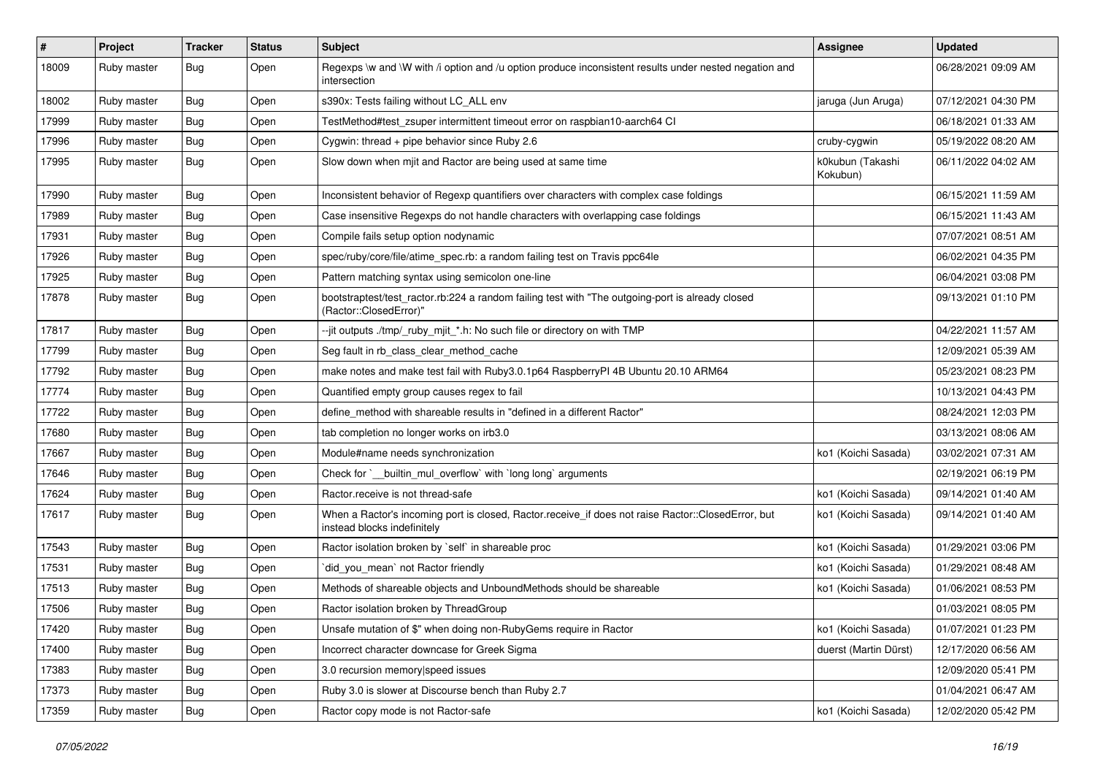| #     | Project     | <b>Tracker</b> | <b>Status</b> | <b>Subject</b>                                                                                                                    | <b>Assignee</b>              | <b>Updated</b>      |
|-------|-------------|----------------|---------------|-----------------------------------------------------------------------------------------------------------------------------------|------------------------------|---------------------|
| 18009 | Ruby master | Bug            | Open          | Regexps \w and \W with /i option and /u option produce inconsistent results under nested negation and<br>intersection             |                              | 06/28/2021 09:09 AM |
| 18002 | Ruby master | Bug            | Open          | s390x: Tests failing without LC_ALL env                                                                                           | jaruga (Jun Aruga)           | 07/12/2021 04:30 PM |
| 17999 | Ruby master | Bug            | Open          | TestMethod#test_zsuper intermittent timeout error on raspbian10-aarch64 Cl                                                        |                              | 06/18/2021 01:33 AM |
| 17996 | Ruby master | Bug            | Open          | Cygwin: thread + pipe behavior since Ruby 2.6                                                                                     | cruby-cygwin                 | 05/19/2022 08:20 AM |
| 17995 | Ruby master | Bug            | Open          | Slow down when mjit and Ractor are being used at same time                                                                        | k0kubun (Takashi<br>Kokubun) | 06/11/2022 04:02 AM |
| 17990 | Ruby master | Bug            | Open          | Inconsistent behavior of Regexp quantifiers over characters with complex case foldings                                            |                              | 06/15/2021 11:59 AM |
| 17989 | Ruby master | Bug            | Open          | Case insensitive Regexps do not handle characters with overlapping case foldings                                                  |                              | 06/15/2021 11:43 AM |
| 17931 | Ruby master | Bug            | Open          | Compile fails setup option nodynamic                                                                                              |                              | 07/07/2021 08:51 AM |
| 17926 | Ruby master | Bug            | Open          | spec/ruby/core/file/atime_spec.rb: a random failing test on Travis ppc64le                                                        |                              | 06/02/2021 04:35 PM |
| 17925 | Ruby master | Bug            | Open          | Pattern matching syntax using semicolon one-line                                                                                  |                              | 06/04/2021 03:08 PM |
| 17878 | Ruby master | Bug            | Open          | bootstraptest/test_ractor.rb:224 a random failing test with "The outgoing-port is already closed<br>(Ractor::ClosedError)"        |                              | 09/13/2021 01:10 PM |
| 17817 | Ruby master | Bug            | Open          | --jit outputs ./tmp/_ruby_mjit_*.h: No such file or directory on with TMP                                                         |                              | 04/22/2021 11:57 AM |
| 17799 | Ruby master | Bug            | Open          | Seg fault in rb_class_clear_method_cache                                                                                          |                              | 12/09/2021 05:39 AM |
| 17792 | Ruby master | Bug            | Open          | make notes and make test fail with Ruby3.0.1p64 RaspberryPI 4B Ubuntu 20.10 ARM64                                                 |                              | 05/23/2021 08:23 PM |
| 17774 | Ruby master | Bug            | Open          | Quantified empty group causes regex to fail                                                                                       |                              | 10/13/2021 04:43 PM |
| 17722 | Ruby master | Bug            | Open          | define_method with shareable results in "defined in a different Ractor"                                                           |                              | 08/24/2021 12:03 PM |
| 17680 | Ruby master | Bug            | Open          | tab completion no longer works on irb3.0                                                                                          |                              | 03/13/2021 08:06 AM |
| 17667 | Ruby master | Bug            | Open          | Module#name needs synchronization                                                                                                 | ko1 (Koichi Sasada)          | 03/02/2021 07:31 AM |
| 17646 | Ruby master | Bug            | Open          | Check for `__builtin_mul_overflow` with `long long` arguments                                                                     |                              | 02/19/2021 06:19 PM |
| 17624 | Ruby master | Bug            | Open          | Ractor.receive is not thread-safe                                                                                                 | ko1 (Koichi Sasada)          | 09/14/2021 01:40 AM |
| 17617 | Ruby master | Bug            | Open          | When a Ractor's incoming port is closed, Ractor.receive_if does not raise Ractor::ClosedError, but<br>instead blocks indefinitely | ko1 (Koichi Sasada)          | 09/14/2021 01:40 AM |
| 17543 | Ruby master | Bug            | Open          | Ractor isolation broken by `self` in shareable proc                                                                               | ko1 (Koichi Sasada)          | 01/29/2021 03:06 PM |
| 17531 | Ruby master | Bug            | Open          | did you mean' not Ractor friendly                                                                                                 | ko1 (Koichi Sasada)          | 01/29/2021 08:48 AM |
| 17513 | Ruby master | Bug            | Open          | Methods of shareable objects and UnboundMethods should be shareable                                                               | ko1 (Koichi Sasada)          | 01/06/2021 08:53 PM |
| 17506 | Ruby master | Bug            | Open          | Ractor isolation broken by ThreadGroup                                                                                            |                              | 01/03/2021 08:05 PM |
| 17420 | Ruby master | <b>Bug</b>     | Open          | Unsafe mutation of \$" when doing non-RubyGems require in Ractor                                                                  | ko1 (Koichi Sasada)          | 01/07/2021 01:23 PM |
| 17400 | Ruby master | <b>Bug</b>     | Open          | Incorrect character downcase for Greek Sigma                                                                                      | duerst (Martin Dürst)        | 12/17/2020 06:56 AM |
| 17383 | Ruby master | <b>Bug</b>     | Open          | 3.0 recursion memory speed issues                                                                                                 |                              | 12/09/2020 05:41 PM |
| 17373 | Ruby master | Bug            | Open          | Ruby 3.0 is slower at Discourse bench than Ruby 2.7                                                                               |                              | 01/04/2021 06:47 AM |
| 17359 | Ruby master | <b>Bug</b>     | Open          | Ractor copy mode is not Ractor-safe                                                                                               | ko1 (Koichi Sasada)          | 12/02/2020 05:42 PM |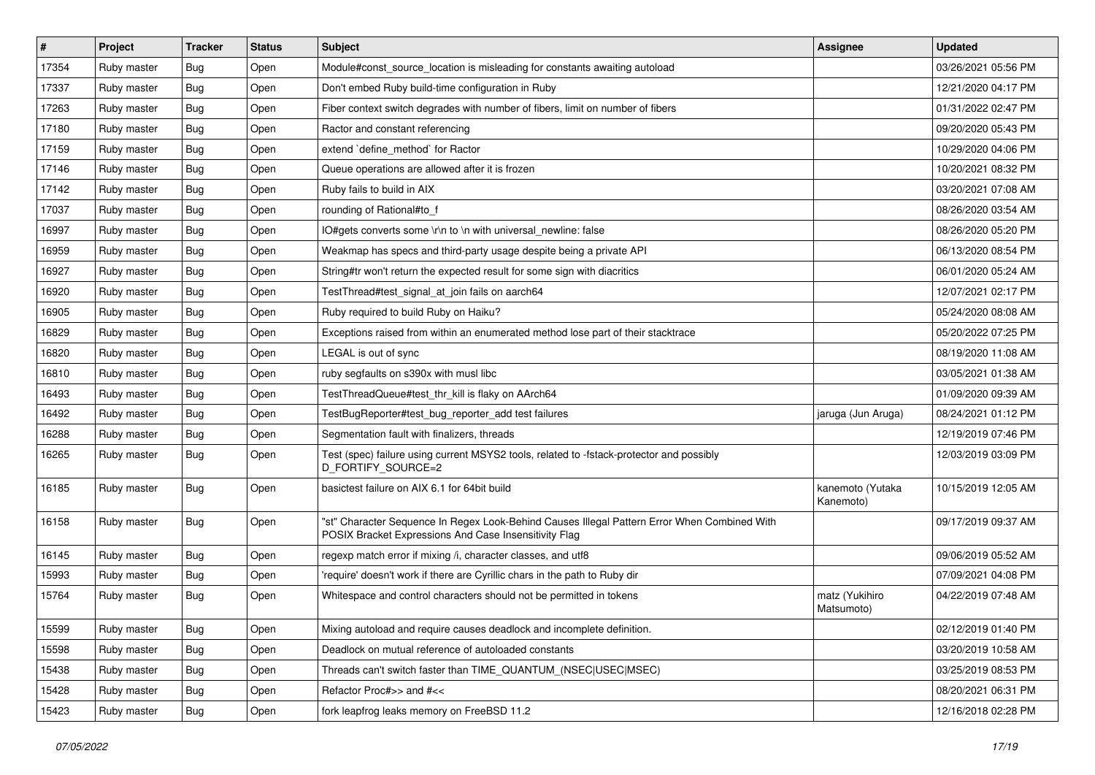| $\pmb{\#}$ | Project     | <b>Tracker</b> | <b>Status</b> | Subject                                                                                                                                               | <b>Assignee</b>               | <b>Updated</b>      |
|------------|-------------|----------------|---------------|-------------------------------------------------------------------------------------------------------------------------------------------------------|-------------------------------|---------------------|
| 17354      | Ruby master | Bug            | Open          | Module#const_source_location is misleading for constants awaiting autoload                                                                            |                               | 03/26/2021 05:56 PM |
| 17337      | Ruby master | Bug            | Open          | Don't embed Ruby build-time configuration in Ruby                                                                                                     |                               | 12/21/2020 04:17 PM |
| 17263      | Ruby master | Bug            | Open          | Fiber context switch degrades with number of fibers, limit on number of fibers                                                                        |                               | 01/31/2022 02:47 PM |
| 17180      | Ruby master | Bug            | Open          | Ractor and constant referencing                                                                                                                       |                               | 09/20/2020 05:43 PM |
| 17159      | Ruby master | Bug            | Open          | extend `define_method` for Ractor                                                                                                                     |                               | 10/29/2020 04:06 PM |
| 17146      | Ruby master | Bug            | Open          | Queue operations are allowed after it is frozen                                                                                                       |                               | 10/20/2021 08:32 PM |
| 17142      | Ruby master | Bug            | Open          | Ruby fails to build in AIX                                                                                                                            |                               | 03/20/2021 07:08 AM |
| 17037      | Ruby master | Bug            | Open          | rounding of Rational#to_f                                                                                                                             |                               | 08/26/2020 03:54 AM |
| 16997      | Ruby master | Bug            | Open          | IO#gets converts some \r\n to \n with universal_newline: false                                                                                        |                               | 08/26/2020 05:20 PM |
| 16959      | Ruby master | Bug            | Open          | Weakmap has specs and third-party usage despite being a private API                                                                                   |                               | 06/13/2020 08:54 PM |
| 16927      | Ruby master | Bug            | Open          | String#tr won't return the expected result for some sign with diacritics                                                                              |                               | 06/01/2020 05:24 AM |
| 16920      | Ruby master | Bug            | Open          | TestThread#test_signal_at_join fails on aarch64                                                                                                       |                               | 12/07/2021 02:17 PM |
| 16905      | Ruby master | Bug            | Open          | Ruby required to build Ruby on Haiku?                                                                                                                 |                               | 05/24/2020 08:08 AM |
| 16829      | Ruby master | Bug            | Open          | Exceptions raised from within an enumerated method lose part of their stacktrace                                                                      |                               | 05/20/2022 07:25 PM |
| 16820      | Ruby master | Bug            | Open          | LEGAL is out of sync                                                                                                                                  |                               | 08/19/2020 11:08 AM |
| 16810      | Ruby master | Bug            | Open          | ruby segfaults on s390x with musl libc                                                                                                                |                               | 03/05/2021 01:38 AM |
| 16493      | Ruby master | Bug            | Open          | TestThreadQueue#test thr kill is flaky on AArch64                                                                                                     |                               | 01/09/2020 09:39 AM |
| 16492      | Ruby master | Bug            | Open          | TestBugReporter#test_bug_reporter_add test failures                                                                                                   | jaruga (Jun Aruga)            | 08/24/2021 01:12 PM |
| 16288      | Ruby master | Bug            | Open          | Segmentation fault with finalizers, threads                                                                                                           |                               | 12/19/2019 07:46 PM |
| 16265      | Ruby master | Bug            | Open          | Test (spec) failure using current MSYS2 tools, related to -fstack-protector and possibly<br>D_FORTIFY_SOURCE=2                                        |                               | 12/03/2019 03:09 PM |
| 16185      | Ruby master | Bug            | Open          | basictest failure on AIX 6.1 for 64bit build                                                                                                          | kanemoto (Yutaka<br>Kanemoto) | 10/15/2019 12:05 AM |
| 16158      | Ruby master | Bug            | Open          | "st" Character Sequence In Regex Look-Behind Causes Illegal Pattern Error When Combined With<br>POSIX Bracket Expressions And Case Insensitivity Flag |                               | 09/17/2019 09:37 AM |
| 16145      | Ruby master | Bug            | Open          | regexp match error if mixing /i, character classes, and utf8                                                                                          |                               | 09/06/2019 05:52 AM |
| 15993      | Ruby master | Bug            | Open          | 'require' doesn't work if there are Cyrillic chars in the path to Ruby dir                                                                            |                               | 07/09/2021 04:08 PM |
| 15764      | Ruby master | Bug            | Open          | Whitespace and control characters should not be permitted in tokens                                                                                   | matz (Yukihiro<br>Matsumoto)  | 04/22/2019 07:48 AM |
| 15599      | Ruby master | <b>Bug</b>     | Open          | Mixing autoload and require causes deadlock and incomplete definition.                                                                                |                               | 02/12/2019 01:40 PM |
| 15598      | Ruby master | Bug            | Open          | Deadlock on mutual reference of autoloaded constants                                                                                                  |                               | 03/20/2019 10:58 AM |
| 15438      | Ruby master | <b>Bug</b>     | Open          | Threads can't switch faster than TIME_QUANTUM_(NSEC USEC MSEC)                                                                                        |                               | 03/25/2019 08:53 PM |
| 15428      | Ruby master | Bug            | Open          | Refactor Proc#>> and #<<                                                                                                                              |                               | 08/20/2021 06:31 PM |
| 15423      | Ruby master | <b>Bug</b>     | Open          | fork leapfrog leaks memory on FreeBSD 11.2                                                                                                            |                               | 12/16/2018 02:28 PM |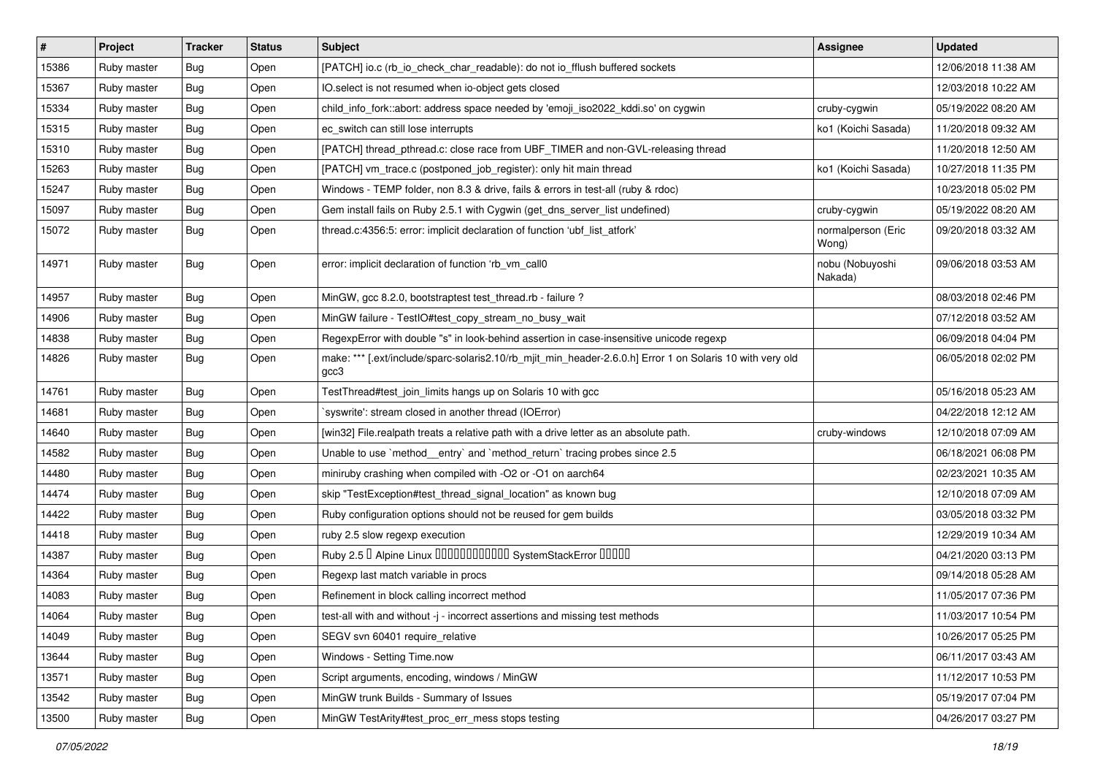| #     | Project     | <b>Tracker</b> | <b>Status</b> | <b>Subject</b>                                                                                                    | <b>Assignee</b>             | <b>Updated</b>      |
|-------|-------------|----------------|---------------|-------------------------------------------------------------------------------------------------------------------|-----------------------------|---------------------|
| 15386 | Ruby master | Bug            | Open          | [PATCH] io.c (rb_io_check_char_readable): do not io_fflush buffered sockets                                       |                             | 12/06/2018 11:38 AM |
| 15367 | Ruby master | Bug            | Open          | IO.select is not resumed when io-object gets closed                                                               |                             | 12/03/2018 10:22 AM |
| 15334 | Ruby master | Bug            | Open          | child_info_fork::abort: address space needed by 'emoji_iso2022_kddi.so' on cygwin                                 | cruby-cygwin                | 05/19/2022 08:20 AM |
| 15315 | Ruby master | <b>Bug</b>     | Open          | ec_switch can still lose interrupts                                                                               | ko1 (Koichi Sasada)         | 11/20/2018 09:32 AM |
| 15310 | Ruby master | Bug            | Open          | [PATCH] thread_pthread.c: close race from UBF_TIMER and non-GVL-releasing thread                                  |                             | 11/20/2018 12:50 AM |
| 15263 | Ruby master | Bug            | Open          | [PATCH] vm_trace.c (postponed_job_register): only hit main thread                                                 | ko1 (Koichi Sasada)         | 10/27/2018 11:35 PM |
| 15247 | Ruby master | Bug            | Open          | Windows - TEMP folder, non 8.3 & drive, fails & errors in test-all (ruby & rdoc)                                  |                             | 10/23/2018 05:02 PM |
| 15097 | Ruby master | Bug            | Open          | Gem install fails on Ruby 2.5.1 with Cygwin (get_dns_server_list undefined)                                       | cruby-cygwin                | 05/19/2022 08:20 AM |
| 15072 | Ruby master | Bug            | Open          | thread.c:4356:5: error: implicit declaration of function 'ubf_list_atfork'                                        | normalperson (Eric<br>Wong) | 09/20/2018 03:32 AM |
| 14971 | Ruby master | Bug            | Open          | error: implicit declaration of function 'rb_vm_call0                                                              | nobu (Nobuyoshi<br>Nakada)  | 09/06/2018 03:53 AM |
| 14957 | Ruby master | Bug            | Open          | MinGW, gcc 8.2.0, bootstraptest test_thread.rb - failure ?                                                        |                             | 08/03/2018 02:46 PM |
| 14906 | Ruby master | Bug            | Open          | MinGW failure - TestIO#test_copy_stream_no_busy_wait                                                              |                             | 07/12/2018 03:52 AM |
| 14838 | Ruby master | Bug            | Open          | RegexpError with double "s" in look-behind assertion in case-insensitive unicode regexp                           |                             | 06/09/2018 04:04 PM |
| 14826 | Ruby master | Bug            | Open          | make: *** [.ext/include/sparc-solaris2.10/rb_mjit_min_header-2.6.0.h] Error 1 on Solaris 10 with very old<br>qcc3 |                             | 06/05/2018 02:02 PM |
| 14761 | Ruby master | Bug            | Open          | TestThread#test_join_limits hangs up on Solaris 10 with gcc                                                       |                             | 05/16/2018 05:23 AM |
| 14681 | Ruby master | <b>Bug</b>     | Open          | 'syswrite': stream closed in another thread (IOError)                                                             |                             | 04/22/2018 12:12 AM |
| 14640 | Ruby master | Bug            | Open          | [win32] File.realpath treats a relative path with a drive letter as an absolute path.                             | cruby-windows               | 12/10/2018 07:09 AM |
| 14582 | Ruby master | Bug            | Open          | Unable to use `method_entry` and `method_return` tracing probes since 2.5                                         |                             | 06/18/2021 06:08 PM |
| 14480 | Ruby master | Bug            | Open          | miniruby crashing when compiled with -O2 or -O1 on aarch64                                                        |                             | 02/23/2021 10:35 AM |
| 14474 | Ruby master | Bug            | Open          | skip "TestException#test_thread_signal_location" as known bug                                                     |                             | 12/10/2018 07:09 AM |
| 14422 | Ruby master | Bug            | Open          | Ruby configuration options should not be reused for gem builds                                                    |                             | 03/05/2018 03:32 PM |
| 14418 | Ruby master | Bug            | Open          | ruby 2.5 slow regexp execution                                                                                    |                             | 12/29/2019 10:34 AM |
| 14387 | Ruby master | Bug            | Open          | Ruby 2.5 <sup>D</sup> Alpine Linux <b>DDDDDDDDDDD</b> SystemStackError <b>DDDD</b>                                |                             | 04/21/2020 03:13 PM |
| 14364 | Ruby master | Bug            | Open          | Regexp last match variable in procs                                                                               |                             | 09/14/2018 05:28 AM |
| 14083 | Ruby master | Bug            | Open          | Refinement in block calling incorrect method                                                                      |                             | 11/05/2017 07:36 PM |
| 14064 | Ruby master | Bug            | Open          | test-all with and without -j - incorrect assertions and missing test methods                                      |                             | 11/03/2017 10:54 PM |
| 14049 | Ruby master | <b>Bug</b>     | Open          | SEGV svn 60401 require relative                                                                                   |                             | 10/26/2017 05:25 PM |
| 13644 | Ruby master | Bug            | Open          | Windows - Setting Time.now                                                                                        |                             | 06/11/2017 03:43 AM |
| 13571 | Ruby master | <b>Bug</b>     | Open          | Script arguments, encoding, windows / MinGW                                                                       |                             | 11/12/2017 10:53 PM |
| 13542 | Ruby master | Bug            | Open          | MinGW trunk Builds - Summary of Issues                                                                            |                             | 05/19/2017 07:04 PM |
| 13500 | Ruby master | <b>Bug</b>     | Open          | MinGW TestArity#test_proc_err_mess stops testing                                                                  |                             | 04/26/2017 03:27 PM |